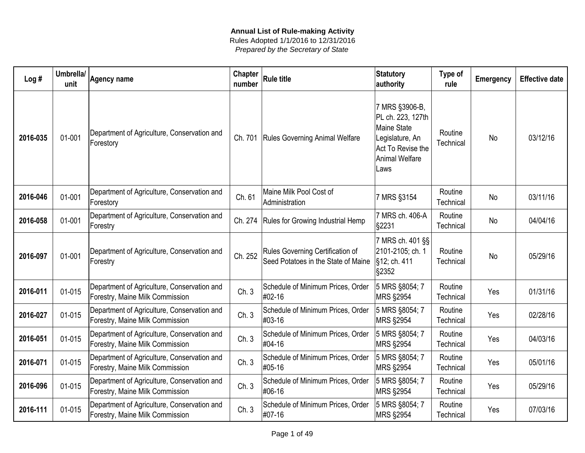| Log#     | Umbrella/<br>unit | <b>Agency name</b>                                                             | <b>Chapter</b><br>number | <b>Rule title</b>                                                       | <b>Statutory</b><br>authority                                                                                               | Type of<br>rule      | <b>Emergency</b> | <b>Effective date</b> |
|----------|-------------------|--------------------------------------------------------------------------------|--------------------------|-------------------------------------------------------------------------|-----------------------------------------------------------------------------------------------------------------------------|----------------------|------------------|-----------------------|
| 2016-035 | 01-001            | Department of Agriculture, Conservation and<br>Forestory                       | Ch. 701                  | <b>Rules Governing Animal Welfare</b>                                   | 7 MRS §3906-B,<br>PL ch. 223, 127th<br>Maine State<br>Legislature, An<br>Act To Revise the<br><b>Animal Welfare</b><br>Laws | Routine<br>Technical | No               | 03/12/16              |
| 2016-046 | 01-001            | Department of Agriculture, Conservation and<br>Forestory                       | Ch. 61                   | Maine Milk Pool Cost of<br>Administration                               | 7 MRS §3154                                                                                                                 | Routine<br>Technical | No               | 03/11/16              |
| 2016-058 | 01-001            | Department of Agriculture, Conservation and<br>Forestry                        |                          | Ch. 274   Rules for Growing Industrial Hemp                             | 7 MRS ch. 406-A<br>§2231                                                                                                    | Routine<br>Technical | No               | 04/04/16              |
| 2016-097 | 01-001            | Department of Agriculture, Conservation and<br>Forestry                        | Ch. 252                  | Rules Governing Certification of<br>Seed Potatoes in the State of Maine | 7 MRS ch. 401 §§<br>2101-2105; ch. 1<br>§12; ch. 411<br>§2352                                                               | Routine<br>Technical | No               | 05/29/16              |
| 2016-011 | 01-015            | Department of Agriculture, Conservation and<br>Forestry, Maine Milk Commission | Ch.3                     | Schedule of Minimum Prices, Order<br>#02-16                             | 5 MRS §8054; 7<br><b>MRS §2954</b>                                                                                          | Routine<br>Technical | Yes              | 01/31/16              |
| 2016-027 | 01-015            | Department of Agriculture, Conservation and<br>Forestry, Maine Milk Commission | Ch.3                     | Schedule of Minimum Prices, Order<br>#03-16                             | 5 MRS §8054; 7<br><b>MRS §2954</b>                                                                                          | Routine<br>Technical | Yes              | 02/28/16              |
| 2016-051 | 01-015            | Department of Agriculture, Conservation and<br>Forestry, Maine Milk Commission | Ch.3                     | Schedule of Minimum Prices, Order<br>#04-16                             | 5 MRS §8054; 7<br><b>MRS §2954</b>                                                                                          | Routine<br>Technical | Yes              | 04/03/16              |
| 2016-071 | 01-015            | Department of Agriculture, Conservation and<br>Forestry, Maine Milk Commission | Ch.3                     | Schedule of Minimum Prices, Order<br>#05-16                             | 5 MRS §8054; 7<br><b>MRS §2954</b>                                                                                          | Routine<br>Technical | Yes              | 05/01/16              |
| 2016-096 | 01-015            | Department of Agriculture, Conservation and<br>Forestry, Maine Milk Commission | Ch.3                     | Schedule of Minimum Prices, Order<br>#06-16                             | 5 MRS §8054; 7<br><b>MRS §2954</b>                                                                                          | Routine<br>Technical | Yes              | 05/29/16              |
| 2016-111 | 01-015            | Department of Agriculture, Conservation and<br>Forestry, Maine Milk Commission | Ch.3                     | Schedule of Minimum Prices, Order<br>#07-16                             | 5 MRS §8054; 7<br><b>MRS §2954</b>                                                                                          | Routine<br>Technical | Yes              | 07/03/16              |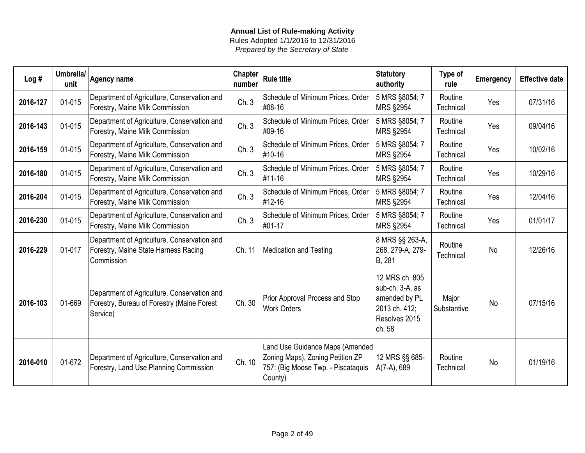| Log#     | Umbrella/<br>unit | Agency name                                                                                           | <b>Chapter</b><br>number | <b>Rule title</b>                                                                                                    | <b>Statutory</b><br>authority                                                                  | Type of<br>rule      | Emergency | <b>Effective date</b> |
|----------|-------------------|-------------------------------------------------------------------------------------------------------|--------------------------|----------------------------------------------------------------------------------------------------------------------|------------------------------------------------------------------------------------------------|----------------------|-----------|-----------------------|
| 2016-127 | 01-015            | Department of Agriculture, Conservation and<br>Forestry, Maine Milk Commission                        | Ch.3                     | Schedule of Minimum Prices, Order<br>#08-16                                                                          | 5 MRS §8054; 7<br><b>MRS §2954</b>                                                             | Routine<br>Technical | Yes       | 07/31/16              |
| 2016-143 | 01-015            | Department of Agriculture, Conservation and<br>Forestry, Maine Milk Commission                        | Ch.3                     | Schedule of Minimum Prices, Order<br>#09-16                                                                          | 5 MRS §8054; 7<br><b>MRS §2954</b>                                                             | Routine<br>Technical | Yes       | 09/04/16              |
| 2016-159 | 01-015            | Department of Agriculture, Conservation and<br>Forestry, Maine Milk Commission                        | Ch.3                     | Schedule of Minimum Prices, Order<br>#10-16                                                                          | 5 MRS §8054; 7<br><b>MRS §2954</b>                                                             | Routine<br>Technical | Yes       | 10/02/16              |
| 2016-180 | 01-015            | Department of Agriculture, Conservation and<br>Forestry, Maine Milk Commission                        | Ch.3                     | Schedule of Minimum Prices, Order<br>#11-16                                                                          | 5 MRS §8054; 7<br>MRS §2954                                                                    | Routine<br>Technical | Yes       | 10/29/16              |
| 2016-204 | 01-015            | Department of Agriculture, Conservation and<br>Forestry, Maine Milk Commission                        | Ch.3                     | Schedule of Minimum Prices, Order<br>#12-16                                                                          | 5 MRS §8054; 7<br><b>MRS §2954</b>                                                             | Routine<br>Technical | Yes       | 12/04/16              |
| 2016-230 | 01-015            | Department of Agriculture, Conservation and<br>Forestry, Maine Milk Commission                        | Ch.3                     | Schedule of Minimum Prices, Order<br>#01-17                                                                          | 5 MRS §8054; 7<br><b>MRS §2954</b>                                                             | Routine<br>Technical | Yes       | 01/01/17              |
| 2016-229 | 01-017            | Department of Agriculture, Conservation and<br>Forestry, Maine State Harness Racing<br>Commission     | Ch. 11                   | <b>Medication and Testing</b>                                                                                        | 8 MRS §§ 263-A,<br>268, 279-A, 279-<br>B, 281                                                  | Routine<br>Technical | <b>No</b> | 12/26/16              |
| 2016-103 | 01-669            | Department of Agriculture, Conservation and<br>Forestry, Bureau of Forestry (Maine Forest<br>Service) | Ch. 30                   | Prior Approval Process and Stop<br><b>Work Orders</b>                                                                | 12 MRS ch. 805<br>sub-ch. 3-A, as<br>amended by PL<br>2013 ch. 412;<br>Resolves 2015<br>ch. 58 | Major<br>Substantive | <b>No</b> | 07/15/16              |
| 2016-010 | 01-672            | Department of Agriculture, Conservation and<br>Forestry, Land Use Planning Commission                 | Ch. 10                   | Land Use Guidance Maps (Amended<br>Zoning Maps), Zoning Petition ZP<br>757: (Big Moose Twp. - Piscataquis<br>County) | 12 MRS §§ 685-<br>A(7-A), 689                                                                  | Routine<br>Technical | <b>No</b> | 01/19/16              |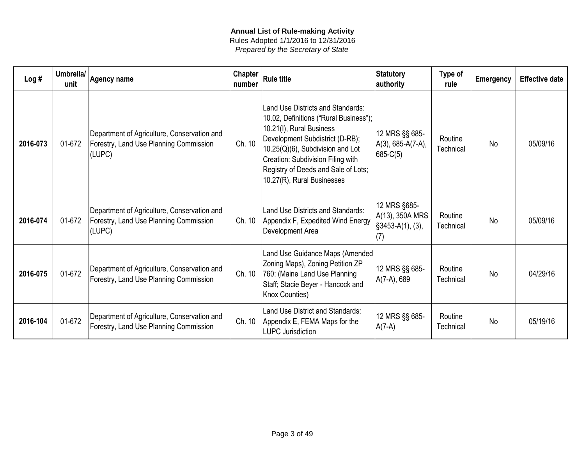| Log#     | Umbrella/<br>unit | Agency name                                                                                     | <b>Chapter</b><br>number | <b>Rule title</b>                                                                                                                                                                                                                                                                        | <b>Statutory</b><br>authority                                | Type of<br>rule      | <b>Emergency</b> | <b>Effective date</b> |
|----------|-------------------|-------------------------------------------------------------------------------------------------|--------------------------|------------------------------------------------------------------------------------------------------------------------------------------------------------------------------------------------------------------------------------------------------------------------------------------|--------------------------------------------------------------|----------------------|------------------|-----------------------|
| 2016-073 | 01-672            | Department of Agriculture, Conservation and<br>Forestry, Land Use Planning Commission<br>(LUPC) | Ch. 10                   | Land Use Districts and Standards:<br>10.02, Definitions ("Rural Business");<br>10.21(I), Rural Business<br>Development Subdistrict (D-RB);<br>10.25(Q)(6), Subdivision and Lot<br>Creation: Subdivision Filing with<br>Registry of Deeds and Sale of Lots;<br>10.27(R), Rural Businesses | 12 MRS §§ 685-<br>$A(3)$ , 685-A(7-A),<br>$685-C(5)$         | Routine<br>Technical | <b>No</b>        | 05/09/16              |
| 2016-074 | 01-672            | Department of Agriculture, Conservation and<br>Forestry, Land Use Planning Commission<br>(LUPC) | Ch. 10                   | Land Use Districts and Standards:<br>Appendix F, Expedited Wind Energy<br>Development Area                                                                                                                                                                                               | 12 MRS §685-<br>A(13), 350A MRS<br>$§3453-A(1), (3),$<br>(7) | Routine<br>Technical | <b>No</b>        | 05/09/16              |
| 2016-075 | 01-672            | Department of Agriculture, Conservation and<br>Forestry, Land Use Planning Commission           | Ch. 10                   | Land Use Guidance Maps (Amended)<br>Zoning Maps), Zoning Petition ZP<br>760: (Maine Land Use Planning<br>Staff; Stacie Beyer - Hancock and<br>Knox Counties)                                                                                                                             | 12 MRS §§ 685-<br>A(7-A), 689                                | Routine<br>Technical | <b>No</b>        | 04/29/16              |
| 2016-104 | 01-672            | Department of Agriculture, Conservation and<br>Forestry, Land Use Planning Commission           | Ch. 10                   | Land Use District and Standards:<br>Appendix E, FEMA Maps for the<br><b>LUPC Jurisdiction</b>                                                                                                                                                                                            | 12 MRS §§ 685-<br>$A(7-A)$                                   | Routine<br>Technical | <b>No</b>        | 05/19/16              |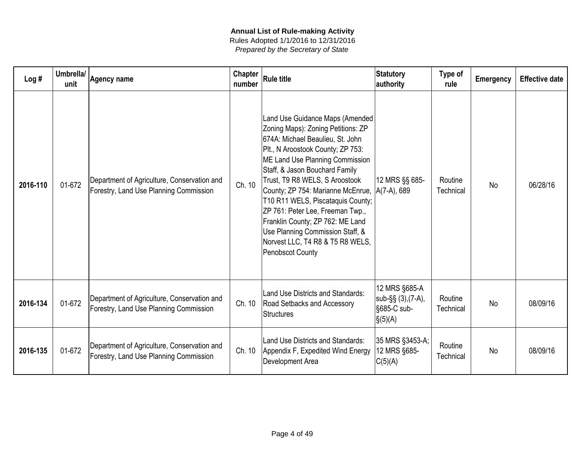| Log#     | Umbrella/<br>unit | Agency name                                                                           | Chapter<br>number | <b>Rule title</b>                                                                                                                                                                                                                                                                                                                                                                                                                                                                                                | <b>Statutory</b><br>authority                                                     | Type of<br>rule      | <b>Emergency</b> | <b>Effective date</b> |
|----------|-------------------|---------------------------------------------------------------------------------------|-------------------|------------------------------------------------------------------------------------------------------------------------------------------------------------------------------------------------------------------------------------------------------------------------------------------------------------------------------------------------------------------------------------------------------------------------------------------------------------------------------------------------------------------|-----------------------------------------------------------------------------------|----------------------|------------------|-----------------------|
| 2016-110 | 01-672            | Department of Agriculture, Conservation and<br>Forestry, Land Use Planning Commission | Ch. 10            | Land Use Guidance Maps (Amended<br>Zoning Maps): Zoning Petitions: ZP<br>674A: Michael Beaulieu, St. John<br>PIt., N Aroostook County; ZP 753:<br>ME Land Use Planning Commission<br>Staff, & Jason Bouchard Family<br>Trust, T9 R8 WELS, S Aroostook<br>County; ZP 754: Marianne McEnrue,  A(7-A), 689<br>T10 R11 WELS, Piscataquis County;<br>ZP 761: Peter Lee, Freeman Twp.,<br>Franklin County; ZP 762: ME Land<br>Use Planning Commission Staff, &<br>Norvest LLC, T4 R8 & T5 R8 WELS,<br>Penobscot County | 12 MRS §§ 685-                                                                    | Routine<br>Technical | <b>No</b>        | 06/28/16              |
| 2016-134 | 01-672            | Department of Agriculture, Conservation and<br>Forestry, Land Use Planning Commission | Ch. 10            | Land Use Districts and Standards:<br>Road Setbacks and Accessory<br><b>Structures</b>                                                                                                                                                                                                                                                                                                                                                                                                                            | 12 MRS §685-A<br>$ sub-\S_{S}(3),(7-A),$<br>§685-C sub-<br>$\vert \S(5)(A) \vert$ | Routine<br>Technical | <b>No</b>        | 08/09/16              |
| 2016-135 | 01-672            | Department of Agriculture, Conservation and<br>Forestry, Land Use Planning Commission | Ch. 10            | Land Use Districts and Standards:<br>Appendix F, Expedited Wind Energy<br>Development Area                                                                                                                                                                                                                                                                                                                                                                                                                       | 35 MRS §3453-A;<br>12 MRS §685-<br>C(5)(A)                                        | Routine<br>Technical | <b>No</b>        | 08/09/16              |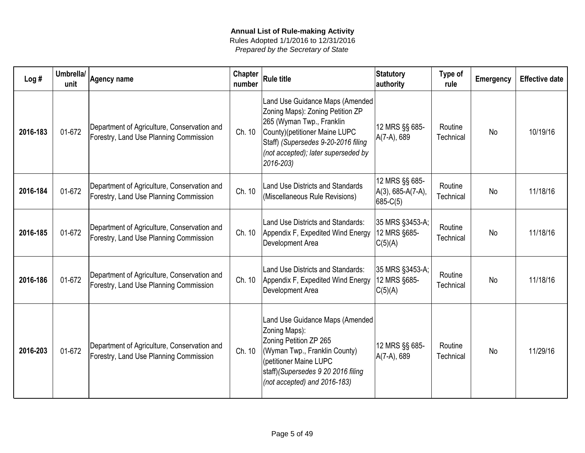| Log#     | Umbrella/<br>unit | <b>Agency name</b>                                                                    | Chapter<br>number | <b>Rule title</b>                                                                                                                                                                                                            | Statutory<br>authority                            | Type of<br>rule      | <b>Emergency</b> | <b>Effective date</b> |
|----------|-------------------|---------------------------------------------------------------------------------------|-------------------|------------------------------------------------------------------------------------------------------------------------------------------------------------------------------------------------------------------------------|---------------------------------------------------|----------------------|------------------|-----------------------|
| 2016-183 | 01-672            | Department of Agriculture, Conservation and<br>Forestry, Land Use Planning Commission | Ch. 10            | Land Use Guidance Maps (Amended<br>Zoning Maps): Zoning Petition ZP<br>265 (Wyman Twp., Franklin<br>County)(petitioner Maine LUPC<br>Staff) (Supersedes 9-20-2016 filing<br>(not accepted); later superseded by<br>2016-203) | 12 MRS §§ 685-<br>A(7-A), 689                     | Routine<br>Technical | No               | 10/19/16              |
| 2016-184 | 01-672            | Department of Agriculture, Conservation and<br>Forestry, Land Use Planning Commission | Ch. 10            | <b>Land Use Districts and Standards</b><br>(Miscellaneous Rule Revisions)                                                                                                                                                    | 12 MRS §§ 685-<br>A(3), 685-A(7-A),<br>$685-C(5)$ | Routine<br>Technical | <b>No</b>        | 11/18/16              |
| 2016-185 | 01-672            | Department of Agriculture, Conservation and<br>Forestry, Land Use Planning Commission | Ch. 10            | Land Use Districts and Standards:<br>Appendix F, Expedited Wind Energy<br>Development Area                                                                                                                                   | 35 MRS §3453-A;<br>12 MRS §685-<br>C(5)(A)        | Routine<br>Technical | <b>No</b>        | 11/18/16              |
| 2016-186 | 01-672            | Department of Agriculture, Conservation and<br>Forestry, Land Use Planning Commission | Ch. 10            | Land Use Districts and Standards:<br>Appendix F, Expedited Wind Energy<br>Development Area                                                                                                                                   | 35 MRS §3453-A;<br>12 MRS §685-<br>C(5)(A)        | Routine<br>Technical | <b>No</b>        | 11/18/16              |
| 2016-203 | 01-672            | Department of Agriculture, Conservation and<br>Forestry, Land Use Planning Commission | Ch. 10            | Land Use Guidance Maps (Amended)<br>Zoning Maps):<br>Zoning Petition ZP 265<br>(Wyman Twp., Franklin County)<br>(petitioner Maine LUPC<br>staff)(Supersedes 9 20 2016 filing<br>(not accepted) and 2016-183)                 | 12 MRS §§ 685-<br>A(7-A), 689                     | Routine<br>Technical | <b>No</b>        | 11/29/16              |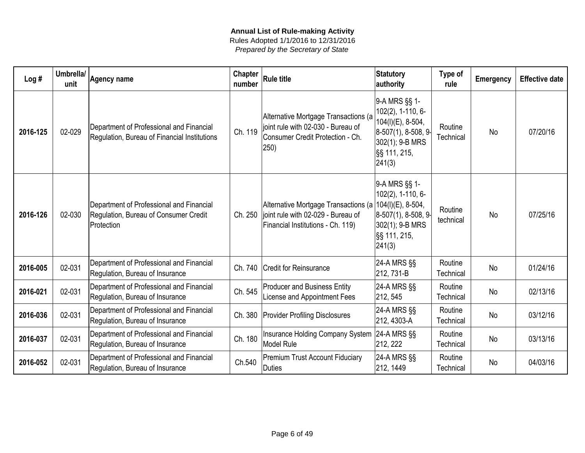| Log#     | Umbrella/<br>unit | <b>Agency name</b>                                                                              | Chapter<br>number | <b>Rule title</b>                                                                                                                   | <b>Statutory</b><br>authority                                                                                                  | Type of<br>rule      | <b>Emergency</b> | <b>Effective date</b> |
|----------|-------------------|-------------------------------------------------------------------------------------------------|-------------------|-------------------------------------------------------------------------------------------------------------------------------------|--------------------------------------------------------------------------------------------------------------------------------|----------------------|------------------|-----------------------|
| 2016-125 | 02-029            | Department of Professional and Financial<br>Regulation, Bureau of Financial Institutions        | Ch. 119           | Alternative Mortgage Transactions (a<br>joint rule with 02-030 - Bureau of<br>Consumer Credit Protection - Ch.<br>250)              | 9-A MRS §§ 1-<br>102(2), 1-110, 6-<br>104(I)(E), 8-504,<br>$ 8-507(1), 8-508, 9-$<br>302(1); 9-B MRS<br>§§ 111, 215,<br>241(3) | Routine<br>Technical | <b>No</b>        | 07/20/16              |
| 2016-126 | 02-030            | Department of Professional and Financial<br>Regulation, Bureau of Consumer Credit<br>Protection | Ch. 250           | Alternative Mortgage Transactions (a   104(l)(E), 8-504,<br>joint rule with 02-029 - Bureau of<br>Financial Institutions - Ch. 119) | 9-A MRS §§ 1-<br>102(2), 1-110, 6-<br> 8-507(1), 8-508, 9-<br>302(1); 9-B MRS<br>§§ 111, 215,<br> 241(3)                       | Routine<br>technical | <b>No</b>        | 07/25/16              |
| 2016-005 | 02-031            | Department of Professional and Financial<br>Regulation, Bureau of Insurance                     | Ch. 740           | <b>Credit for Reinsurance</b>                                                                                                       | 24-A MRS §§<br>212, 731-B                                                                                                      | Routine<br>Technical | <b>No</b>        | 01/24/16              |
| 2016-021 | 02-031            | Department of Professional and Financial<br>Regulation, Bureau of Insurance                     | Ch. 545           | <b>Producer and Business Entity</b><br>License and Appointment Fees                                                                 | 24-A MRS §§<br>212, 545                                                                                                        | Routine<br>Technical | <b>No</b>        | 02/13/16              |
| 2016-036 | 02-031            | Department of Professional and Financial<br>Regulation, Bureau of Insurance                     | Ch. 380           | <b>Provider Profiling Disclosures</b>                                                                                               | 24-A MRS §§<br>212, 4303-A                                                                                                     | Routine<br>Technical | No               | 03/12/16              |
| 2016-037 | 02-031            | Department of Professional and Financial<br>Regulation, Bureau of Insurance                     | Ch. 180           | Insurance Holding Company System<br>Model Rule                                                                                      | $ 24-A$ MRS $\S$<br>212, 222                                                                                                   | Routine<br>Technical | <b>No</b>        | 03/13/16              |
| 2016-052 | 02-031            | Department of Professional and Financial<br>Regulation, Bureau of Insurance                     | Ch.540            | <b>Premium Trust Account Fiduciary</b><br><b>Duties</b>                                                                             | 24-A MRS §§<br>212, 1449                                                                                                       | Routine<br>Technical | <b>No</b>        | 04/03/16              |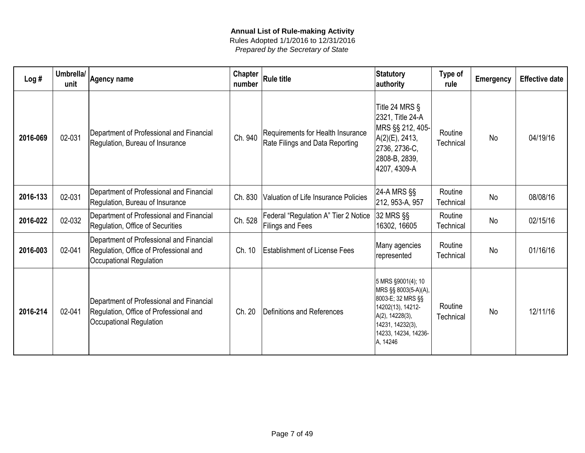| Log#     | Umbrella/<br>unit | Agency name                                                                                                          | <b>Chapter</b><br>number | <b>Rule title</b>                                                    | <b>Statutory</b><br>authority                                                                                                                                   | Type of<br>rule      | <b>Emergency</b> | <b>Effective date</b> |
|----------|-------------------|----------------------------------------------------------------------------------------------------------------------|--------------------------|----------------------------------------------------------------------|-----------------------------------------------------------------------------------------------------------------------------------------------------------------|----------------------|------------------|-----------------------|
| 2016-069 | 02-031            | Department of Professional and Financial<br>Regulation, Bureau of Insurance                                          | Ch. 940                  | Requirements for Health Insurance<br>Rate Filings and Data Reporting | Title 24 MRS §<br>2321, Title 24-A<br> MRS §§ 212, 405- <br>$A(2)(E)$ , 2413,<br>2736, 2736-C,<br>2808-B, 2839,<br>4207, 4309-A                                 | Routine<br>Technical | <b>No</b>        | 04/19/16              |
| 2016-133 | 02-031            | Department of Professional and Financial<br>Regulation, Bureau of Insurance                                          | Ch. 830                  | Valuation of Life Insurance Policies                                 | 24-A MRS §§<br>212, 953-A, 957                                                                                                                                  | Routine<br>Technical | <b>No</b>        | 08/08/16              |
| 2016-022 | 02-032            | Department of Professional and Financial<br>Regulation, Office of Securities                                         | Ch. 528                  | Federal "Regulation A" Tier 2 Notice<br>Filings and Fees             | 32 MRS §§<br>16302, 16605                                                                                                                                       | Routine<br>Technical | <b>No</b>        | 02/15/16              |
| 2016-003 | 02-041            | Department of Professional and Financial<br>Regulation, Office of Professional and<br><b>Occupational Regulation</b> | Ch. 10                   | <b>Establishment of License Fees</b>                                 | Many agencies<br>represented                                                                                                                                    | Routine<br>Technical | <b>No</b>        | 01/16/16              |
| 2016-214 | 02-041            | Department of Professional and Financial<br>Regulation, Office of Professional and<br><b>Occupational Regulation</b> | Ch. 20                   | Definitions and References                                           | 5 MRS §9001(4); 10<br>MRS §§ 8003(5-A)(A),<br>8003-E; 32 MRS §§<br>14202(13), 14212-<br>A(2), 14228(3),<br>14231, 14232(3),<br>14233, 14234, 14236-<br>A, 14246 | Routine<br>Technical | <b>No</b>        | 12/11/16              |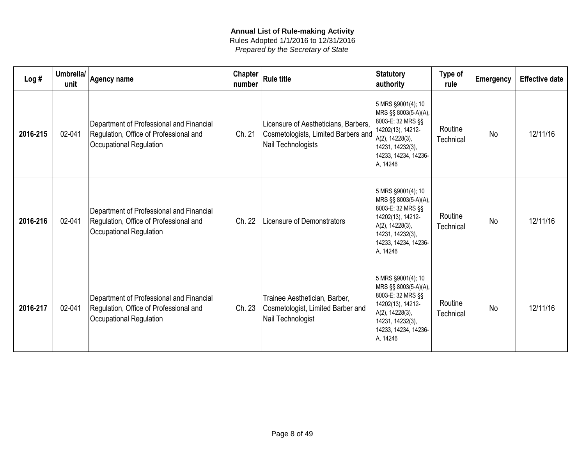| Log#     | Umbrella/<br>unit | <b>Agency name</b>                                                                                                   | <b>Chapter</b><br>number | Rule title                                                                                        | <b>Statutory</b><br>authority                                                                                                                                   | Type of<br>rule      | <b>Emergency</b> | <b>Effective date</b> |
|----------|-------------------|----------------------------------------------------------------------------------------------------------------------|--------------------------|---------------------------------------------------------------------------------------------------|-----------------------------------------------------------------------------------------------------------------------------------------------------------------|----------------------|------------------|-----------------------|
| 2016-215 | 02-041            | Department of Professional and Financial<br>Regulation, Office of Professional and<br>Occupational Regulation        | Ch. 21                   | Licensure of Aestheticians, Barbers,<br>Cosmetologists, Limited Barbers and<br>Nail Technologists | 5 MRS §9001(4); 10<br>MRS §§ 8003(5-A)(A),<br>8003-E; 32 MRS §§<br>14202(13), 14212-<br>A(2), 14228(3),<br>14231, 14232(3),<br>14233, 14234, 14236-<br>A, 14246 | Routine<br>Technical | <b>No</b>        | 12/11/16              |
| 2016-216 | 02-041            | Department of Professional and Financial<br>Regulation, Office of Professional and<br><b>Occupational Regulation</b> | Ch. 22                   | Licensure of Demonstrators                                                                        | 5 MRS §9001(4); 10<br>MRS §§ 8003(5-A)(A),<br>8003-E; 32 MRS §§<br>14202(13), 14212-<br>A(2), 14228(3),<br>14231, 14232(3),<br>14233, 14234, 14236-<br>A, 14246 | Routine<br>Technical | <b>No</b>        | 12/11/16              |
| 2016-217 | 02-041            | Department of Professional and Financial<br>Regulation, Office of Professional and<br><b>Occupational Regulation</b> | Ch. 23                   | Trainee Aesthetician, Barber,<br>Cosmetologist, Limited Barber and<br>Nail Technologist           | 5 MRS §9001(4); 10<br>MRS §§ 8003(5-A)(A),<br>8003-E; 32 MRS §§<br>14202(13), 14212-<br>A(2), 14228(3),<br>14231, 14232(3),<br>14233, 14234, 14236-<br>A, 14246 | Routine<br>Technical | <b>No</b>        | 12/11/16              |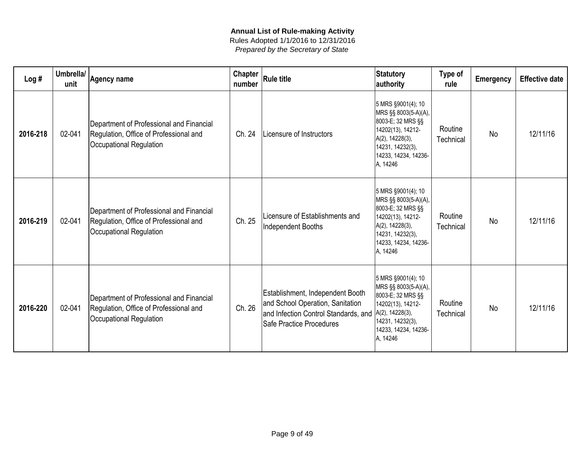| Log#     | Umbrella/<br>unit | <b>Agency name</b>                                                                                            | <b>Chapter</b><br>number | <b>Rule title</b>                                                                                                                        | <b>Statutory</b><br>authority                                                                                                                                      | Type of<br>rule      | <b>Emergency</b> | <b>Effective date</b> |
|----------|-------------------|---------------------------------------------------------------------------------------------------------------|--------------------------|------------------------------------------------------------------------------------------------------------------------------------------|--------------------------------------------------------------------------------------------------------------------------------------------------------------------|----------------------|------------------|-----------------------|
| 2016-218 | 02-041            | Department of Professional and Financial<br>Regulation, Office of Professional and<br>Occupational Regulation | Ch. 24                   | Licensure of Instructors                                                                                                                 | 5 MRS §9001(4); 10<br>MRS §§ 8003(5-A)(A),<br>8003-E; 32 MRS §§<br>14202(13), 14212-<br>A(2), 14228(3),<br>14231, 14232(3),<br>14233, 14234, 14236-<br>A, 14246    | Routine<br>Technical | <b>No</b>        | 12/11/16              |
| 2016-219 | 02-041            | Department of Professional and Financial<br>Regulation, Office of Professional and<br>Occupational Regulation | Ch. 25                   | Licensure of Establishments and<br>Independent Booths                                                                                    | 5 MRS §9001(4); 10<br>MRS §§ 8003(5-A)(A),<br>8003-E; 32 MRS §§<br>14202(13), 14212-<br>A(2), 14228(3),<br>14231, 14232(3),<br>14233, 14234, 14236-<br>A, 14246    | Routine<br>Technical | <b>No</b>        | 12/11/16              |
| 2016-220 | 02-041            | Department of Professional and Financial<br>Regulation, Office of Professional and<br>Occupational Regulation | Ch. 26                   | Establishment, Independent Booth<br>and School Operation, Sanitation<br>and Infection Control Standards, and<br>Safe Practice Procedures | 5 MRS §9001(4); 10<br>MRS §§ 8003(5-A)(A),<br>8003-E; 32 MRS §§<br>14202(13), 14212-<br>$A(2)$ , 14228(3),<br>14231, 14232(3),<br>14233, 14234, 14236-<br>A, 14246 | Routine<br>Technical | <b>No</b>        | 12/11/16              |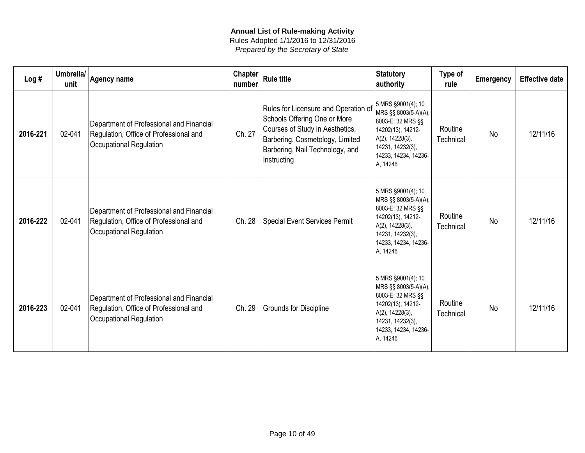| Log#     | Umbrella/<br>unit | Agency name                                                                                                   | <b>Chapter</b><br>number | <b>Rule title</b>                                                                                                                                                                            | Statutory<br>authority                                                                                                                                          | Type of<br>rule      | <b>Emergency</b> | <b>Effective date</b> |
|----------|-------------------|---------------------------------------------------------------------------------------------------------------|--------------------------|----------------------------------------------------------------------------------------------------------------------------------------------------------------------------------------------|-----------------------------------------------------------------------------------------------------------------------------------------------------------------|----------------------|------------------|-----------------------|
| 2016-221 | 02-041            | Department of Professional and Financial<br>Regulation, Office of Professional and<br>Occupational Regulation | Ch. 27                   | Rules for Licensure and Operation of<br>Schools Offering One or More<br>Courses of Study in Aesthetics,<br>Barbering, Cosmetology, Limited<br>Barbering, Nail Technology, and<br>Instructing | 5 MRS §9001(4); 10<br>MRS §§ 8003(5-A)(A),<br>8003-E; 32 MRS §§<br>14202(13), 14212-<br>A(2), 14228(3),<br>14231, 14232(3),<br>14233, 14234, 14236-<br>A, 14246 | Routine<br>Technical | <b>No</b>        | 12/11/16              |
| 2016-222 | 02-041            | Department of Professional and Financial<br>Regulation, Office of Professional and<br>Occupational Regulation | Ch. 28                   | <b>Special Event Services Permit</b>                                                                                                                                                         | 5 MRS §9001(4); 10<br>MRS §§ 8003(5-A)(A),<br>8003-E; 32 MRS §§<br>14202(13), 14212-<br>A(2), 14228(3),<br>14231, 14232(3),<br>14233, 14234, 14236-<br>A, 14246 | Routine<br>Technical | <b>No</b>        | 12/11/16              |
| 2016-223 | 02-041            | Department of Professional and Financial<br>Regulation, Office of Professional and<br>Occupational Regulation | Ch. 29                   | Grounds for Discipline                                                                                                                                                                       | 5 MRS §9001(4); 10<br>MRS §§ 8003(5-A)(A),<br>8003-E; 32 MRS §§<br>14202(13), 14212-<br>A(2), 14228(3),<br>14231, 14232(3),<br>14233, 14234, 14236-<br>A, 14246 | Routine<br>Technical | <b>No</b>        | 12/11/16              |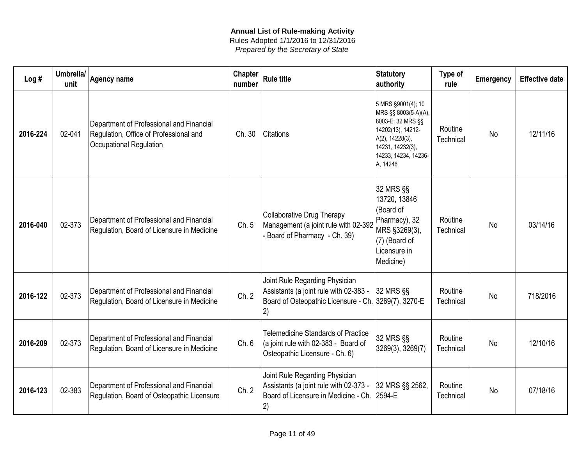| Log#     | Umbrella/<br>unit | <b>Agency name</b>                                                                                            | Chapter<br>number | <b>Rule title</b>                                                                                                                      | <b>Statutory</b><br>authority                                                                                                                                   | Type of<br>rule      | <b>Emergency</b> | <b>Effective date</b> |
|----------|-------------------|---------------------------------------------------------------------------------------------------------------|-------------------|----------------------------------------------------------------------------------------------------------------------------------------|-----------------------------------------------------------------------------------------------------------------------------------------------------------------|----------------------|------------------|-----------------------|
| 2016-224 | 02-041            | Department of Professional and Financial<br>Regulation, Office of Professional and<br>Occupational Regulation | Ch. 30            | <b>Citations</b>                                                                                                                       | 5 MRS §9001(4); 10<br>MRS §§ 8003(5-A)(A),<br>8003-E; 32 MRS §§<br>14202(13), 14212-<br>A(2), 14228(3),<br>14231, 14232(3),<br>14233, 14234, 14236-<br>A, 14246 | Routine<br>Technical | <b>No</b>        | 12/11/16              |
| 2016-040 | 02-373            | Department of Professional and Financial<br>Regulation, Board of Licensure in Medicine                        | Ch. 5             | Collaborative Drug Therapy<br>Management (a joint rule with 02-392<br>Board of Pharmacy - Ch. 39)                                      | 32 MRS §§<br>13720, 13846<br>(Board of<br>Pharmacy), 32<br>MRS §3269(3),<br>(7) (Board of<br>Licensure in<br>Medicine)                                          | Routine<br>Technical | <b>No</b>        | 03/14/16              |
| 2016-122 | 02-373            | Department of Professional and Financial<br>Regulation, Board of Licensure in Medicine                        | Ch. 2             | Joint Rule Regarding Physician<br>Assistants (a joint rule with 02-383 -<br>Board of Osteopathic Licensure - Ch. 3269(7), 3270-E<br>2) | 32 MRS §§                                                                                                                                                       | Routine<br>Technical | <b>No</b>        | 718/2016              |
| 2016-209 | 02-373            | Department of Professional and Financial<br>Regulation, Board of Licensure in Medicine                        | Ch. 6             | <b>Telemedicine Standards of Practice</b><br>(a joint rule with 02-383 - Board of<br>Osteopathic Licensure - Ch. 6)                    | 32 MRS §§<br>3269(3), 3269(7)                                                                                                                                   | Routine<br>Technical | <b>No</b>        | 12/10/16              |
| 2016-123 | 02-383            | Department of Professional and Financial<br>Regulation, Board of Osteopathic Licensure                        | Ch. 2             | Joint Rule Regarding Physician<br>Assistants (a joint rule with 02-373 -<br>Board of Licensure in Medicine - Ch.<br>2)                 | 32 MRS §§ 2562,<br>2594-E                                                                                                                                       | Routine<br>Technical | <b>No</b>        | 07/18/16              |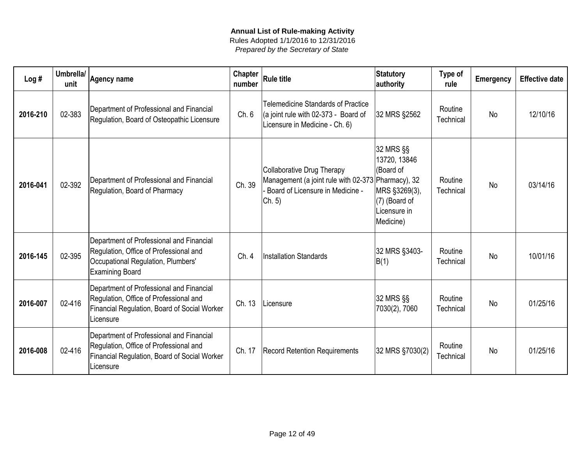| Log#     | Umbrella/<br>unit | <b>Agency name</b>                                                                                                                                 | <b>Chapter</b><br>number | <b>Rule title</b>                                                                                                              | <b>Statutory</b><br>authority                                                                         | Type of<br>rule      | <b>Emergency</b> | <b>Effective date</b> |
|----------|-------------------|----------------------------------------------------------------------------------------------------------------------------------------------------|--------------------------|--------------------------------------------------------------------------------------------------------------------------------|-------------------------------------------------------------------------------------------------------|----------------------|------------------|-----------------------|
| 2016-210 | 02-383            | Department of Professional and Financial<br>Regulation, Board of Osteopathic Licensure                                                             | Ch. 6                    | <b>Telemedicine Standards of Practice</b><br>$\alpha$ joint rule with 02-373 - Board of<br>Licensure in Medicine - Ch. 6)      | 32 MRS §2562                                                                                          | Routine<br>Technical | <b>No</b>        | 12/10/16              |
| 2016-041 | 02-392            | Department of Professional and Financial<br>Regulation, Board of Pharmacy                                                                          | Ch. 39                   | Collaborative Drug Therapy<br>Management (a joint rule with 02-373 Pharmacy), 32<br>Board of Licensure in Medicine -<br>Ch. 5) | 32 MRS §§<br>13720, 13846<br>(Board of<br>MRS §3269(3),<br>(7) (Board of<br>Licensure in<br>Medicine) | Routine<br>Technical | <b>No</b>        | 03/14/16              |
| 2016-145 | 02-395            | Department of Professional and Financial<br>Regulation, Office of Professional and<br>Occupational Regulation, Plumbers'<br><b>Examining Board</b> | Ch.4                     | Installation Standards                                                                                                         | 32 MRS §3403-<br>B(1)                                                                                 | Routine<br>Technical | <b>No</b>        | 10/01/16              |
| 2016-007 | 02-416            | Department of Professional and Financial<br>Regulation, Office of Professional and<br>Financial Regulation, Board of Social Worker<br>Licensure    | Ch. 13                   | Licensure                                                                                                                      | 32 MRS §§<br>7030(2), 7060                                                                            | Routine<br>Technical | <b>No</b>        | 01/25/16              |
| 2016-008 | 02-416            | Department of Professional and Financial<br>Regulation, Office of Professional and<br>Financial Regulation, Board of Social Worker<br>Licensure    | Ch. 17                   | <b>Record Retention Requirements</b>                                                                                           | 32 MRS §7030(2)                                                                                       | Routine<br>Technical | <b>No</b>        | 01/25/16              |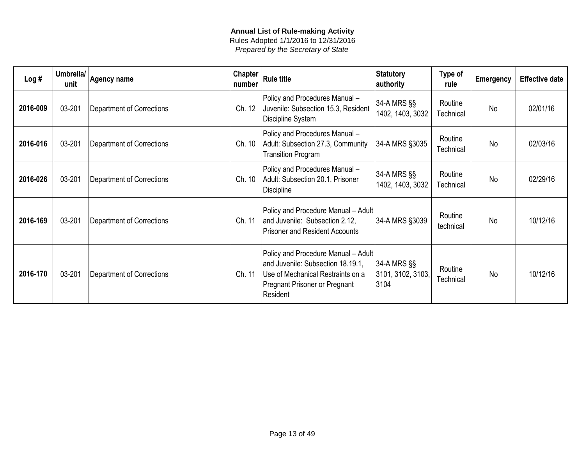| Log#     | Umbrella/<br>unit | <b>Agency name</b>               | <b>Chapter</b><br>number | <b>Rule title</b>                                                                                                                                                 | <b>Statutory</b><br>authority            | Type of<br>rule      | <b>Emergency</b> | <b>Effective date</b> |
|----------|-------------------|----------------------------------|--------------------------|-------------------------------------------------------------------------------------------------------------------------------------------------------------------|------------------------------------------|----------------------|------------------|-----------------------|
| 2016-009 | 03-201            | <b>Department of Corrections</b> | Ch. 12                   | Policy and Procedures Manual -<br>Juvenile: Subsection 15.3, Resident<br>Discipline System                                                                        | 34-A MRS §§<br>1402, 1403, 3032          | Routine<br>Technical | <b>No</b>        | 02/01/16              |
| 2016-016 | 03-201            | <b>Department of Corrections</b> | Ch. 10                   | Policy and Procedures Manual -<br>Adult: Subsection 27.3, Community<br><b>Transition Program</b>                                                                  | 34-A MRS §3035                           | Routine<br>Technical | <b>No</b>        | 02/03/16              |
| 2016-026 | 03-201            | <b>Department of Corrections</b> | Ch. 10                   | Policy and Procedures Manual -<br>Adult: Subsection 20.1, Prisoner<br><b>Discipline</b>                                                                           | 34-A MRS §§<br>1402, 1403, 3032          | Routine<br>Technical | <b>No</b>        | 02/29/16              |
| 2016-169 | 03-201            | Department of Corrections        | Ch. 11                   | Policy and Procedure Manual - Adult<br>and Juvenile: Subsection 2.12,<br><b>Prisoner and Resident Accounts</b>                                                    | 34-A MRS §3039                           | Routine<br>technical | <b>No</b>        | 10/12/16              |
| 2016-170 | 03-201            | <b>Department of Corrections</b> | Ch. 11                   | Policy and Procedure Manual - Adult<br>and Juvenile: Subsection 18.19.1,<br>Use of Mechanical Restraints on a<br><b>Pregnant Prisoner or Pregnant</b><br>Resident | 34-A MRS §§<br>3101, 3102, 3103,<br>3104 | Routine<br>Technical | <b>No</b>        | 10/12/16              |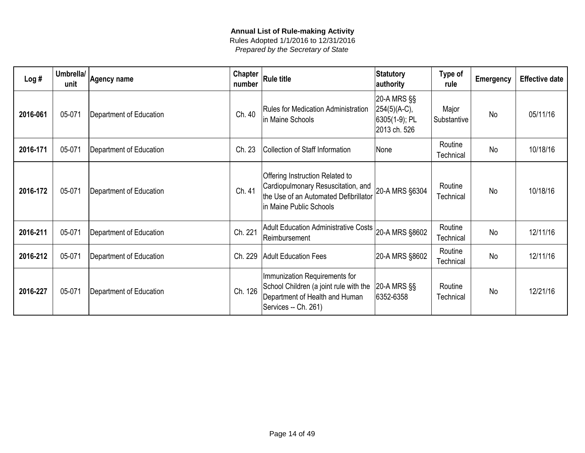| Log#     | Umbrella/<br>unit | <b>Agency name</b>      | Chapter  <br>number | <b>Rule title</b>                                                                                                                         | Statutory<br>authority                                       | Type of<br>rule      | <b>Emergency</b> | <b>Effective date</b> |
|----------|-------------------|-------------------------|---------------------|-------------------------------------------------------------------------------------------------------------------------------------------|--------------------------------------------------------------|----------------------|------------------|-----------------------|
| 2016-061 | 05-071            | Department of Education | Ch. 40              | Rules for Medication Administration<br>in Maine Schools                                                                                   | 20-A MRS §§<br>254(5)(A-C),<br>6305(1-9); PL<br>2013 ch. 526 | Major<br>Substantive | <b>No</b>        | 05/11/16              |
| 2016-171 | 05-071            | Department of Education | Ch. 23              | Collection of Staff Information                                                                                                           | None                                                         | Routine<br>Technical | <b>No</b>        | 10/18/16              |
| 2016-172 | 05-071            | Department of Education | Ch. 41              | Offering Instruction Related to<br>Cardiopulmonary Resuscitation, and<br>the Use of an Automated Defibrillator<br>in Maine Public Schools | 20-A MRS §6304                                               | Routine<br>Technical | <b>No</b>        | 10/18/16              |
| 2016-211 | 05-071            | Department of Education | Ch. 221             | Adult Education Administrative Costs<br>Reimbursement                                                                                     | 20-A MRS §8602                                               | Routine<br>Technical | <b>No</b>        | 12/11/16              |
| 2016-212 | 05-071            | Department of Education | Ch. 229             | <b>Adult Education Fees</b>                                                                                                               | 20-A MRS §8602                                               | Routine<br>Technical | <b>No</b>        | 12/11/16              |
| 2016-227 | 05-071            | Department of Education | Ch. 126             | Immunization Requirements for<br>School Children (a joint rule with the<br>Department of Health and Human<br>Services -- Ch. 261)         | $ 20-A$ MRS $\S$<br>6352-6358                                | Routine<br>Technical | <b>No</b>        | 12/21/16              |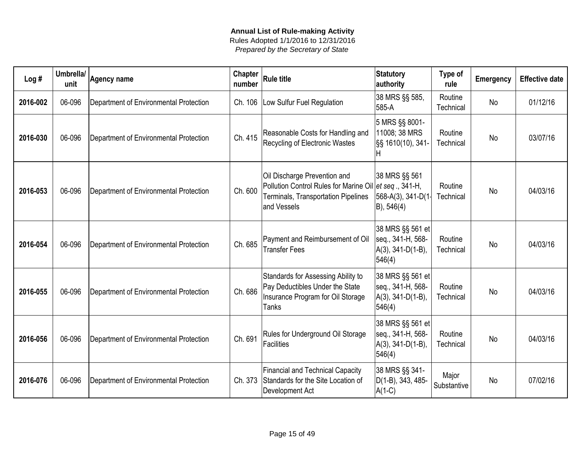| Log#     | Umbrella/<br>unit | Agency name                            | Chapter<br>number | <b>Rule title</b>                                                                                                                            | <b>Statutory</b><br>authority                                            | Type of<br>rule      | Emergency | <b>Effective date</b> |
|----------|-------------------|----------------------------------------|-------------------|----------------------------------------------------------------------------------------------------------------------------------------------|--------------------------------------------------------------------------|----------------------|-----------|-----------------------|
| 2016-002 | 06-096            | Department of Environmental Protection | Ch. 106           | Low Sulfur Fuel Regulation                                                                                                                   | 38 MRS §§ 585,<br>585-A                                                  | Routine<br>Technical | <b>No</b> | 01/12/16              |
| 2016-030 | 06-096            | Department of Environmental Protection | Ch. 415           | Reasonable Costs for Handling and<br>Recycling of Electronic Wastes                                                                          | 5 MRS §§ 8001-<br>11008; 38 MRS<br>S§ 1610(10), 341<br>н                 | Routine<br>Technical | <b>No</b> | 03/07/16              |
| 2016-053 | 06-096            | Department of Environmental Protection | Ch. 600           | Oil Discharge Prevention and<br>Pollution Control Rules for Marine Oil et seq., 341-H,<br>Terminals, Transportation Pipelines<br>and Vessels | 38 MRS §§ 561<br>568-A(3), 341-D(1<br>B), 546(4)                         | Routine<br>Technical | <b>No</b> | 04/03/16              |
| 2016-054 | 06-096            | Department of Environmental Protection | Ch. 685           | Payment and Reimbursement of Oil<br><b>Transfer Fees</b>                                                                                     | 38 MRS §§ 561 et<br>seq., 341-H, 568-<br>$A(3), 341-D(1-B),$<br>546(4)   | Routine<br>Technical | <b>No</b> | 04/03/16              |
| 2016-055 | 06-096            | Department of Environmental Protection | Ch. 686           | Standards for Assessing Ability to<br>Pay Deductibles Under the State<br>Insurance Program for Oil Storage<br><b>Tanks</b>                   | 38 MRS §§ 561 et<br>seq., 341-H, 568-<br>$A(3), 341-D(1-B),$<br> 546(4)  | Routine<br>Technical | <b>No</b> | 04/03/16              |
| 2016-056 | 06-096            | Department of Environmental Protection | Ch. 691           | Rules for Underground Oil Storage<br>Facilities                                                                                              | 38 MRS §§ 561 et<br>seq., 341-H, 568-<br>$ A(3), 341-D(1-B),$<br> 546(4) | Routine<br>Technical | <b>No</b> | 04/03/16              |
| 2016-076 | 06-096            | Department of Environmental Protection | Ch. 373           | <b>Financial and Technical Capacity</b><br>Standards for the Site Location of<br>Development Act                                             | 38 MRS §§ 341-<br>D(1-B), 343, 485-<br>$A(1-C)$                          | Major<br>Substantive | <b>No</b> | 07/02/16              |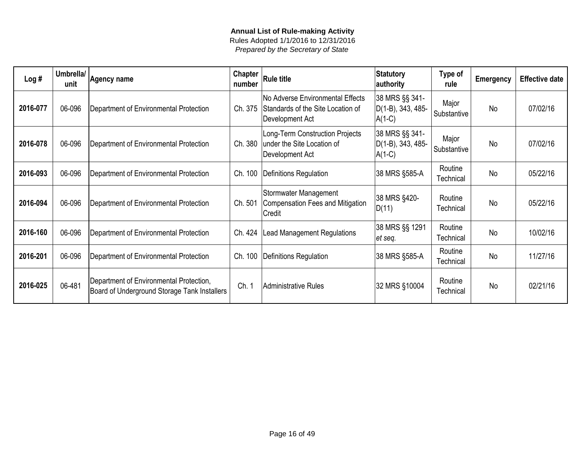| Log#     | Umbrella/<br>unit | <b>Agency name</b>                                                                      | <b>Chapter</b><br>number | <b>Rule title</b>                                                                        | <b>Statutory</b><br>authority                   | Type of<br>rule      | <b>Emergency</b> | <b>Effective date</b> |
|----------|-------------------|-----------------------------------------------------------------------------------------|--------------------------|------------------------------------------------------------------------------------------|-------------------------------------------------|----------------------|------------------|-----------------------|
| 2016-077 | 06-096            | Department of Environmental Protection                                                  | Ch. 375                  | No Adverse Environmental Effects<br>Standards of the Site Location of<br>Development Act | 38 MRS §§ 341-<br>D(1-B), 343, 485-<br>$A(1-C)$ | Major<br>Substantive | <b>No</b>        | 07/02/16              |
| 2016-078 | 06-096            | Department of Environmental Protection                                                  | Ch. 380                  | Long-Term Construction Projects<br>under the Site Location of<br>Development Act         | 38 MRS §§ 341-<br>D(1-B), 343, 485-<br>$A(1-C)$ | Major<br>Substantive | <b>No</b>        | 07/02/16              |
| 2016-093 | 06-096            | Department of Environmental Protection                                                  | Ch. 100                  | Definitions Regulation                                                                   | 38 MRS §585-A                                   | Routine<br>Technical | <b>No</b>        | 05/22/16              |
| 2016-094 | 06-096            | Department of Environmental Protection                                                  | Ch. 501                  | Stormwater Management<br>Compensation Fees and Mitigation<br>Credit                      | 38 MRS §420-<br>D(11)                           | Routine<br>Technical | <b>No</b>        | 05/22/16              |
| 2016-160 | 06-096            | Department of Environmental Protection                                                  | Ch. 424                  | <b>Lead Management Regulations</b>                                                       | 38 MRS §§ 1291<br>et seq.                       | Routine<br>Technical | <b>No</b>        | 10/02/16              |
| 2016-201 | 06-096            | Department of Environmental Protection                                                  | Ch. 100                  | Definitions Regulation                                                                   | 38 MRS §585-A                                   | Routine<br>Technical | <b>No</b>        | 11/27/16              |
| 2016-025 | 06-481            | Department of Environmental Protection,<br>Board of Underground Storage Tank Installers | Ch. 1                    | Administrative Rules                                                                     | 32 MRS §10004                                   | Routine<br>Technical | <b>No</b>        | 02/21/16              |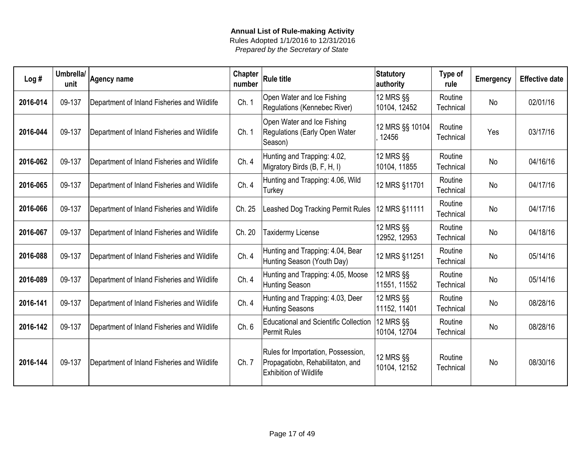| Log#     | Umbrella/<br>unit | <b>Agency name</b>                          | <b>Chapter</b><br>number | <b>Rule title</b>                                                                                       | <b>Statutory</b><br>authority | Type of<br>rule      | Emergency | <b>Effective date</b> |
|----------|-------------------|---------------------------------------------|--------------------------|---------------------------------------------------------------------------------------------------------|-------------------------------|----------------------|-----------|-----------------------|
| 2016-014 | 09-137            | Department of Inland Fisheries and Wildlife | Ch. 1                    | Open Water and Ice Fishing<br>Regulations (Kennebec River)                                              | 12 MRS §§<br>10104, 12452     | Routine<br>Technical | No        | 02/01/16              |
| 2016-044 | 09-137            | Department of Inland Fisheries and Wildlife | Ch.1                     | Open Water and Ice Fishing<br>Regulations (Early Open Water<br>Season)                                  | 12 MRS §§ 10104<br>12456      | Routine<br>Technical | Yes       | 03/17/16              |
| 2016-062 | 09-137            | Department of Inland Fisheries and Wildlife | Ch. 4                    | Hunting and Trapping: 4.02,<br>Migratory Birds (B, F, H, I)                                             | 12 MRS §§<br>10104, 11855     | Routine<br>Technical | No        | 04/16/16              |
| 2016-065 | 09-137            | Department of Inland Fisheries and Wildlife | Ch. 4                    | Hunting and Trapping: 4.06, Wild<br>Turkey                                                              | 12 MRS §11701                 | Routine<br>Technical | No        | 04/17/16              |
| 2016-066 | 09-137            | Department of Inland Fisheries and Wildlife | Ch. 25                   | Leashed Dog Tracking Permit Rules                                                                       | 12 MRS §11111                 | Routine<br>Technical | <b>No</b> | 04/17/16              |
| 2016-067 | 09-137            | Department of Inland Fisheries and Wildlife | Ch. 20                   | Taxidermy License                                                                                       | 12 MRS §§<br>12952, 12953     | Routine<br>Technical | No        | 04/18/16              |
| 2016-088 | 09-137            | Department of Inland Fisheries and Wildlife | Ch. 4                    | Hunting and Trapping: 4.04, Bear<br>Hunting Season (Youth Day)                                          | 12 MRS §11251                 | Routine<br>Technical | No        | 05/14/16              |
| 2016-089 | 09-137            | Department of Inland Fisheries and Wildlife | Ch. 4                    | Hunting and Trapping: 4.05, Moose<br>Hunting Season                                                     | $12$ MRS $\S$<br>11551, 11552 | Routine<br>Technical | No        | 05/14/16              |
| 2016-141 | 09-137            | Department of Inland Fisheries and Wildlife | Ch. 4                    | Hunting and Trapping: 4.03, Deer<br>Hunting Seasons                                                     | 12 MRS §§<br>11152, 11401     | Routine<br>Technical | <b>No</b> | 08/28/16              |
| 2016-142 | 09-137            | Department of Inland Fisheries and Wildlife | Ch. 6                    | <b>Educational and Scientific Collection</b><br><b>Permit Rules</b>                                     | 12 MRS §§<br>10104, 12704     | Routine<br>Technical | <b>No</b> | 08/28/16              |
| 2016-144 | 09-137            | Department of Inland Fisheries and Wildlife | Ch. 7                    | Rules for Importation, Possession,<br>Propagatiobn, Rehabilitaton, and<br><b>Exhibition of Wildlife</b> | 12 MRS §§<br>10104, 12152     | Routine<br>Technical | <b>No</b> | 08/30/16              |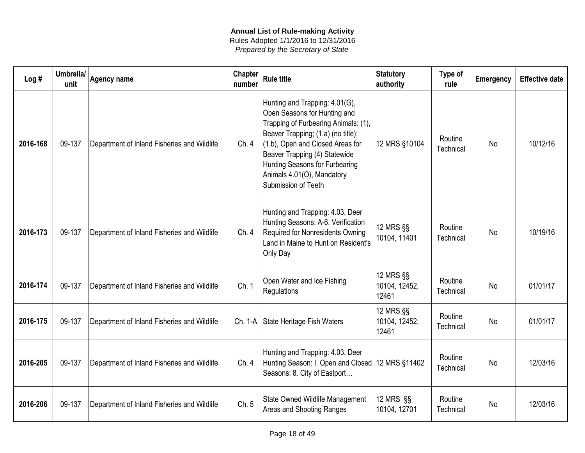| Log#     | Umbrella/<br>unit | <b>Agency name</b>                          | Chapter<br>number | <b>Rule title</b>                                                                                                                                                                                                                                                                                        | <b>Statutory</b><br>authority       | Type of<br>rule      | <b>Emergency</b> | <b>Effective date</b> |
|----------|-------------------|---------------------------------------------|-------------------|----------------------------------------------------------------------------------------------------------------------------------------------------------------------------------------------------------------------------------------------------------------------------------------------------------|-------------------------------------|----------------------|------------------|-----------------------|
| 2016-168 | 09-137            | Department of Inland Fisheries and Wildlife | Ch.4              | Hunting and Trapping: 4.01(G),<br>Open Seasons for Hunting and<br>Trapping of Furbearing Animals: (1),<br>Beaver Trapping; (1.a) (no title);<br>(1.b), Open and Closed Areas for<br>Beaver Trapping (4) Statewide<br>Hunting Seasons for Furbearing<br>Animals 4.01(O), Mandatory<br>Submission of Teeth | 12 MRS §10104                       | Routine<br>Technical | <b>No</b>        | 10/12/16              |
| 2016-173 | 09-137            | Department of Inland Fisheries and Wildlife | Ch.4              | Hunting and Trapping: 4.03, Deer<br>Hunting Seasons: A-6. Verification<br>Required for Nonresidents Owning<br>Land in Maine to Hunt on Resident's<br>Only Day                                                                                                                                            | 12 MRS §§<br>10104, 11401           | Routine<br>Technical | <b>No</b>        | 10/19/16              |
| 2016-174 | 09-137            | Department of Inland Fisheries and Wildlife | Ch. 1             | Open Water and Ice Fishing<br>Regulations                                                                                                                                                                                                                                                                | 12 MRS §§<br>10104, 12452,<br>12461 | Routine<br>Technical | <b>No</b>        | 01/01/17              |
| 2016-175 | 09-137            | Department of Inland Fisheries and Wildlife |                   | Ch. 1-A State Heritage Fish Waters                                                                                                                                                                                                                                                                       | 12 MRS §§<br>10104, 12452,<br>12461 | Routine<br>Technical | <b>No</b>        | 01/01/17              |
| 2016-205 | 09-137            | Department of Inland Fisheries and Wildlife | Ch.4              | Hunting and Trapping: 4.03, Deer<br>Hunting Season: I. Open and Closed 12 MRS §11402<br>Seasons: 8. City of Eastport                                                                                                                                                                                     |                                     | Routine<br>Technical | <b>No</b>        | 12/03/16              |
| 2016-206 | 09-137            | Department of Inland Fisheries and Wildlife | Ch. 5             | State Owned Wildlife Management<br>Areas and Shooting Ranges                                                                                                                                                                                                                                             | 12 MRS §§<br>10104, 12701           | Routine<br>Technical | <b>No</b>        | 12/03/16              |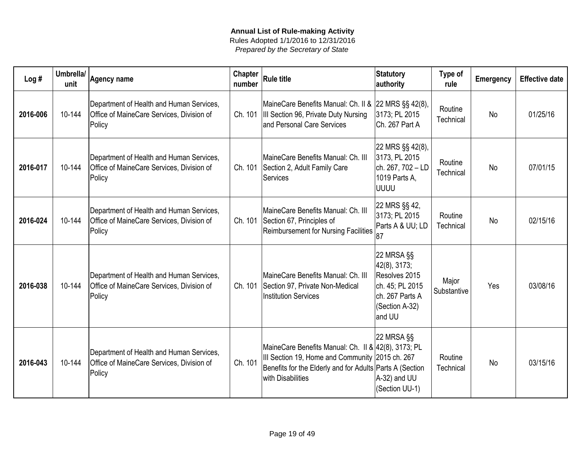| Log#     | Umbrella/<br>unit | Agency name                                                                                     | <b>Chapter</b><br>number | <b>Rule title</b>                                                                                                                                                                       | <b>Statutory</b><br>authority                                                                                 | Type of<br>rule      | <b>Emergency</b> | <b>Effective date</b> |
|----------|-------------------|-------------------------------------------------------------------------------------------------|--------------------------|-----------------------------------------------------------------------------------------------------------------------------------------------------------------------------------------|---------------------------------------------------------------------------------------------------------------|----------------------|------------------|-----------------------|
| 2016-006 | 10-144            | Department of Health and Human Services,<br>Office of MaineCare Services, Division of<br>Policy | Ch. 101                  | MaineCare Benefits Manual: Ch. II & 22 MRS §§ 42(8),<br>III Section 96, Private Duty Nursing<br>and Personal Care Services                                                              | 3173; PL 2015<br>Ch. 267 Part A                                                                               | Routine<br>Technical | <b>No</b>        | 01/25/16              |
| 2016-017 | 10-144            | Department of Health and Human Services,<br>Office of MaineCare Services, Division of<br>Policy | Ch. 101                  | MaineCare Benefits Manual: Ch. III<br>Section 2, Adult Family Care<br>Services                                                                                                          | 22 MRS §§ 42(8),<br>3173, PL 2015<br>ch. 267, 702 - LD<br>1019 Parts A,<br><b>UUUU</b>                        | Routine<br>Technical | No               | 07/01/15              |
| 2016-024 | 10-144            | Department of Health and Human Services,<br>Office of MaineCare Services, Division of<br>Policy | Ch. 101                  | MaineCare Benefits Manual: Ch. III<br>Section 67, Principles of<br><b>Reimbursement for Nursing Facilities</b>                                                                          | 22 MRS §§ 42,<br>3173; PL 2015<br>Parts A & UU; LD<br>187                                                     | Routine<br>Technical | <b>No</b>        | 02/15/16              |
| 2016-038 | 10-144            | Department of Health and Human Services,<br>Office of MaineCare Services, Division of<br>Policy | Ch. 101                  | MaineCare Benefits Manual: Ch. III<br>Section 97, Private Non-Medical<br><b>Institution Services</b>                                                                                    | 22 MRSA §§<br>42(8), 3173;<br>Resolves 2015<br>ch. 45; PL 2015<br>ch. 267 Parts A<br>(Section A-32)<br>and UU | Major<br>Substantive | Yes              | 03/08/16              |
| 2016-043 | 10-144            | Department of Health and Human Services,<br>Office of MaineCare Services, Division of<br>Policy | Ch. 101                  | MaineCare Benefits Manual: Ch. II & 42(8), 3173; PL<br>III Section 19, Home and Community 2015 ch. 267<br>Benefits for the Elderly and for Adults Parts A (Section<br>with Disabilities | 22 MRSA §§<br>A-32) and UU<br>(Section UU-1)                                                                  | Routine<br>Technical | No               | 03/15/16              |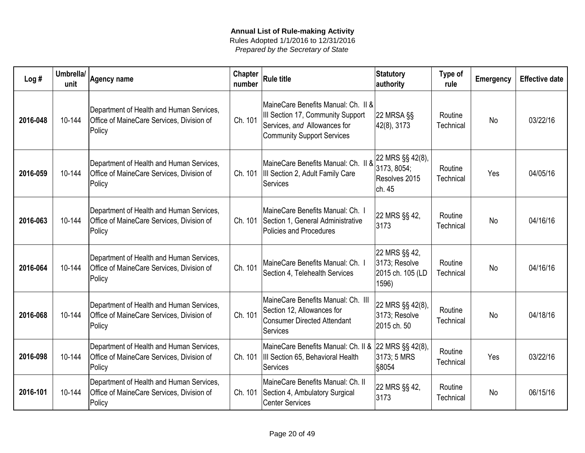| Log#     | Umbrella/<br>unit | Agency name                                                                                     | Chapter<br>number | <b>Rule title</b>                                                                                                                             | Statutory<br>authority                                      | Type of<br>rule      | <b>Emergency</b> | <b>Effective date</b> |
|----------|-------------------|-------------------------------------------------------------------------------------------------|-------------------|-----------------------------------------------------------------------------------------------------------------------------------------------|-------------------------------------------------------------|----------------------|------------------|-----------------------|
| 2016-048 | 10-144            | Department of Health and Human Services,<br>Office of MaineCare Services, Division of<br>Policy | Ch. 101           | MaineCare Benefits Manual: Ch. II &<br>III Section 17, Community Support<br>Services, and Allowances for<br><b>Community Support Services</b> | 22 MRSA §§<br>42(8), 3173                                   | Routine<br>Technical | <b>No</b>        | 03/22/16              |
| 2016-059 | 10-144            | Department of Health and Human Services,<br>Office of MaineCare Services, Division of<br>Policy | Ch. 101           | MaineCare Benefits Manual: Ch. II &<br>III Section 2, Adult Family Care<br><b>Services</b>                                                    | 22 MRS §§ 42(8),<br>3173, 8054;<br>Resolves 2015<br>ch. 45  | Routine<br>Technical | Yes              | 04/05/16              |
| 2016-063 | 10-144            | Department of Health and Human Services,<br>Office of MaineCare Services, Division of<br>Policy | Ch. 101           | MaineCare Benefits Manual: Ch. I<br>Section 1, General Administrative<br>Policies and Procedures                                              | 22 MRS §§ 42,<br>3173                                       | Routine<br>Technical | <b>No</b>        | 04/16/16              |
| 2016-064 | 10-144            | Department of Health and Human Services,<br>Office of MaineCare Services, Division of<br>Policy | Ch. 101           | MaineCare Benefits Manual: Ch. I<br>Section 4, Telehealth Services                                                                            | 22 MRS §§ 42,<br>3173; Resolve<br>2015 ch. 105 (LD<br>1596) | Routine<br>Technical | <b>No</b>        | 04/16/16              |
| 2016-068 | 10-144            | Department of Health and Human Services,<br>Office of MaineCare Services, Division of<br>Policy | Ch. 101           | MaineCare Benefits Manual: Ch. III<br>Section 12, Allowances for<br><b>Consumer Directed Attendant</b><br><b>Services</b>                     | 22 MRS §§ 42(8),<br>3173; Resolve<br>2015 ch. 50            | Routine<br>Technical | No               | 04/18/16              |
| 2016-098 | 10-144            | Department of Health and Human Services,<br>Office of MaineCare Services, Division of<br>Policy |                   | MaineCare Benefits Manual: Ch. II & 22 MRS §§ 42(8),<br>Ch. 101   III Section 65, Behavioral Health<br><b>Services</b>                        | 3173; 5 MRS<br>§8054                                        | Routine<br>Technical | Yes              | 03/22/16              |
| 2016-101 | 10-144            | Department of Health and Human Services,<br>Office of MaineCare Services, Division of<br>Policy | Ch. 101           | MaineCare Benefits Manual: Ch. II<br>Section 4, Ambulatory Surgical<br><b>Center Services</b>                                                 | 22 MRS §§ 42,<br>3173                                       | Routine<br>Technical | No               | 06/15/16              |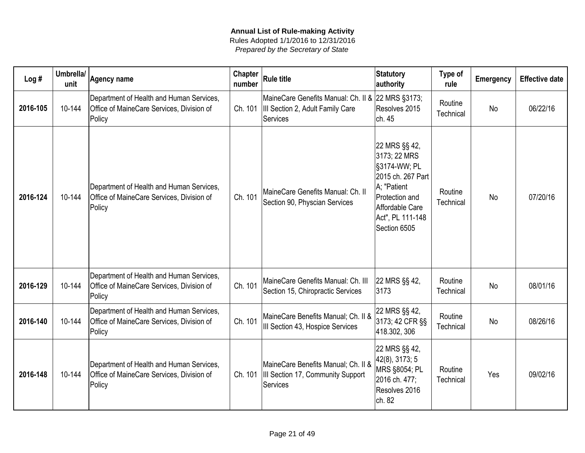| Log#     | Umbrella/<br>unit | <b>Agency name</b>                                                                              | Chapter<br>number | <b>Rule title</b>                                                                                 | Statutory<br>authority                                                                                                                                     | Type of<br>rule      | <b>Emergency</b> | <b>Effective date</b> |
|----------|-------------------|-------------------------------------------------------------------------------------------------|-------------------|---------------------------------------------------------------------------------------------------|------------------------------------------------------------------------------------------------------------------------------------------------------------|----------------------|------------------|-----------------------|
| 2016-105 | 10-144            | Department of Health and Human Services,<br>Office of MaineCare Services, Division of<br>Policy | Ch. 101           | MaineCare Genefits Manual: Ch. II & 22 MRS §3173;<br>III Section 2, Adult Family Care<br>Services | Resolves 2015<br>ch. 45                                                                                                                                    | Routine<br>Technical | <b>No</b>        | 06/22/16              |
| 2016-124 | 10-144            | Department of Health and Human Services,<br>Office of MaineCare Services, Division of<br>Policy | Ch. 101           | MaineCare Genefits Manual: Ch. II<br>Section 90, Physcian Services                                | 22 MRS §§ 42,<br>3173; 22 MRS<br>§3174-WW; PL<br>2015 ch. 267 Part<br>A; "Patient<br>Protection and<br>Affordable Care<br>Act", PL 111-148<br>Section 6505 | Routine<br>Technical | <b>No</b>        | 07/20/16              |
| 2016-129 | 10-144            | Department of Health and Human Services,<br>Office of MaineCare Services, Division of<br>Policy | Ch. 101           | MaineCare Genefits Manual: Ch. III<br>Section 15, Chiropractic Services                           | 22 MRS §§ 42,<br>3173                                                                                                                                      | Routine<br>Technical | <b>No</b>        | 08/01/16              |
| 2016-140 | 10-144            | Department of Health and Human Services,<br>Office of MaineCare Services, Division of<br>Policy | Ch. 101           | MaineCare Benefits Manual; Ch. II &<br>III Section 43, Hospice Services                           | 22 MRS §§ 42,<br>3173; 42 CFR §§<br>418.302, 306                                                                                                           | Routine<br>Technical | <b>No</b>        | 08/26/16              |
| 2016-148 | 10-144            | Department of Health and Human Services,<br>Office of MaineCare Services, Division of<br>Policy | Ch. 101           | MaineCare Benefits Manual; Ch. II &<br>III Section 17, Community Support<br>Services              | 22 MRS §§ 42,<br>42(8), 3173; 5<br>MRS §8054; PL<br>2016 ch. 477;<br>Resolves 2016<br>ch. 82                                                               | Routine<br>Technical | Yes              | 09/02/16              |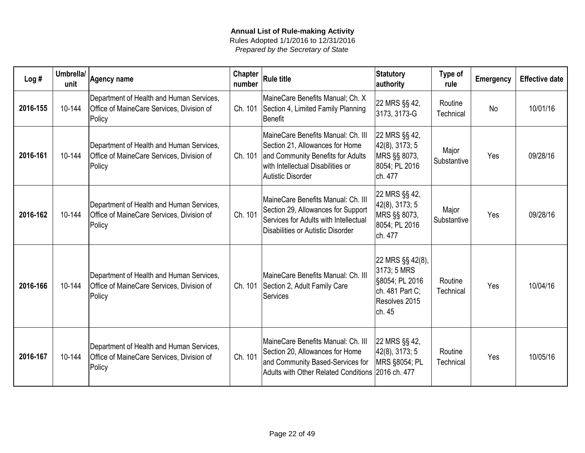| Log#     | Umbrella/<br>unit | <b>Agency name</b>                                                                              | <b>Chapter</b><br>number | <b>Rule title</b>                                                                                                                                                    | <b>Statutory</b><br>authority                                                                   | Type of<br>rule      | Emergency | <b>Effective date</b> |
|----------|-------------------|-------------------------------------------------------------------------------------------------|--------------------------|----------------------------------------------------------------------------------------------------------------------------------------------------------------------|-------------------------------------------------------------------------------------------------|----------------------|-----------|-----------------------|
| 2016-155 | 10-144            | Department of Health and Human Services,<br>Office of MaineCare Services, Division of<br>Policy | Ch. 101                  | MaineCare Benefits Manual; Ch. X<br>Section 4, Limited Family Planning<br>Benefit                                                                                    | 22 MRS §§ 42,<br>3173, 3173-G                                                                   | Routine<br>Technical | <b>No</b> | 10/01/16              |
| 2016-161 | 10-144            | Department of Health and Human Services,<br>Office of MaineCare Services, Division of<br>Policy | Ch. 101                  | MaineCare Benefits Manual: Ch. III<br>Section 21, Allowances for Home<br>and Community Benefits for Adults<br>with Intellectual Disabilities or<br>Autistic Disorder | 22 MRS §§ 42,<br>42(8), 3173; 5<br>MRS §§ 8073,<br>8054; PL 2016<br>ch. 477                     | Major<br>Substantive | Yes       | 09/28/16              |
| 2016-162 | 10-144            | Department of Health and Human Services,<br>Office of MaineCare Services, Division of<br>Policy | Ch. 101                  | MaineCare Benefits Manual: Ch. III<br>Section 29, Allowances for Support<br>Services for Adults with Intellectual<br>Disabilities or Autistic Disorder               | 22 MRS §§ 42,<br>42(8), 3173; 5<br>MRS §§ 8073,<br>8054; PL 2016<br>ch. 477                     | Major<br>Substantive | Yes       | 09/28/16              |
| 2016-166 | 10-144            | Department of Health and Human Services,<br>Office of MaineCare Services, Division of<br>Policy | Ch. 101                  | MaineCare Benefits Manual: Ch. III<br>Section 2, Adult Family Care<br>Services                                                                                       | 22 MRS §§ 42(8),<br>3173; 5 MRS<br>§8054; PL 2016<br>ch. 481 Part C:<br>Resolves 2015<br>ch. 45 | Routine<br>Technical | Yes       | 10/04/16              |
| 2016-167 | 10-144            | Department of Health and Human Services,<br>Office of MaineCare Services, Division of<br>Policy | Ch. 101                  | MaineCare Benefits Manual: Ch. III<br>Section 20, Allowances for Home<br>and Community Based-Services for<br>Adults with Other Related Conditions 2016 ch. 477       | 22 MRS §§ 42,<br>42(8), 3173; 5<br>MRS §8054; PL                                                | Routine<br>Technical | Yes       | 10/05/16              |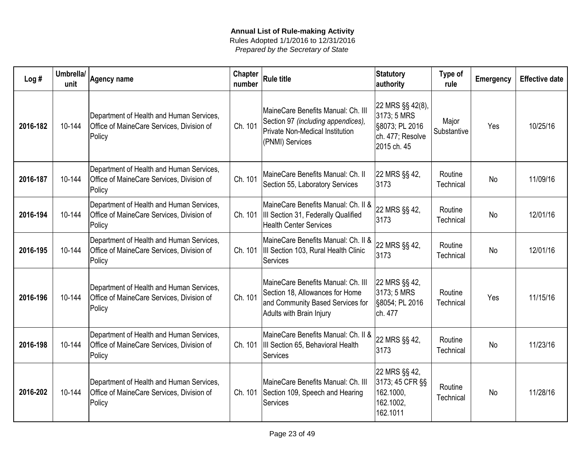| Log#     | Umbrella/<br>unit | <b>Agency name</b>                                                                              | <b>Chapter</b><br>number | <b>Rule title</b>                                                                                                                     | Statutory<br>authority                                                               | Type of<br>rule      | <b>Emergency</b> | <b>Effective date</b> |
|----------|-------------------|-------------------------------------------------------------------------------------------------|--------------------------|---------------------------------------------------------------------------------------------------------------------------------------|--------------------------------------------------------------------------------------|----------------------|------------------|-----------------------|
| 2016-182 | 10-144            | Department of Health and Human Services,<br>Office of MaineCare Services, Division of<br>Policy | Ch. 101                  | MaineCare Benefits Manual: Ch. III<br>Section 97 (including appendices),<br><b>Private Non-Medical Institution</b><br>(PNMI) Services | 22 MRS §§ 42(8),<br>3173; 5 MRS<br>§8073; PL 2016<br>ch. 477; Resolve<br>2015 ch. 45 | Major<br>Substantive | Yes              | 10/25/16              |
| 2016-187 | 10-144            | Department of Health and Human Services,<br>Office of MaineCare Services, Division of<br>Policy | Ch. 101                  | MaineCare Benefits Manual: Ch. II<br>Section 55, Laboratory Services                                                                  | 22 MRS §§ 42,<br>3173                                                                | Routine<br>Technical | <b>No</b>        | 11/09/16              |
| 2016-194 | 10-144            | Department of Health and Human Services,<br>Office of MaineCare Services, Division of<br>Policy | Ch. 101                  | MaineCare Benefits Manual: Ch. II &<br>III Section 31, Federally Qualified<br><b>Health Center Services</b>                           | 22 MRS §§ 42,<br>3173                                                                | Routine<br>Technical | <b>No</b>        | 12/01/16              |
| 2016-195 | 10-144            | Department of Health and Human Services,<br>Office of MaineCare Services, Division of<br>Policy |                          | MaineCare Benefits Manual: Ch. II &<br>Ch. 101  III Section 103, Rural Health Clinic<br>Services                                      | 22 MRS §§ 42,<br>3173                                                                | Routine<br>Technical | <b>No</b>        | 12/01/16              |
| 2016-196 | 10-144            | Department of Health and Human Services,<br>Office of MaineCare Services, Division of<br>Policy | Ch. 101                  | MaineCare Benefits Manual: Ch. III<br>Section 18, Allowances for Home<br>and Community Based Services for<br>Adults with Brain Injury | 22 MRS §§ 42,<br>3173; 5 MRS<br>§8054; PL 2016<br>ch. 477                            | Routine<br>Technical | Yes              | 11/15/16              |
| 2016-198 | 10-144            | Department of Health and Human Services,<br>Office of MaineCare Services, Division of<br>Policy |                          | MaineCare Benefits Manual: Ch. II &<br>Ch. 101  III Section 65, Behavioral Health<br>Services                                         | 22 MRS §§ 42,<br>3173                                                                | Routine<br>Technical | <b>No</b>        | 11/23/16              |
| 2016-202 | 10-144            | Department of Health and Human Services,<br>Office of MaineCare Services, Division of<br>Policy |                          | MaineCare Benefits Manual: Ch. III<br>Ch. 101 Section 109, Speech and Hearing<br>Services                                             | 22 MRS §§ 42,<br>3173; 45 CFR §§<br>162.1000,<br>162.1002,<br>162.1011               | Routine<br>Technical | <b>No</b>        | 11/28/16              |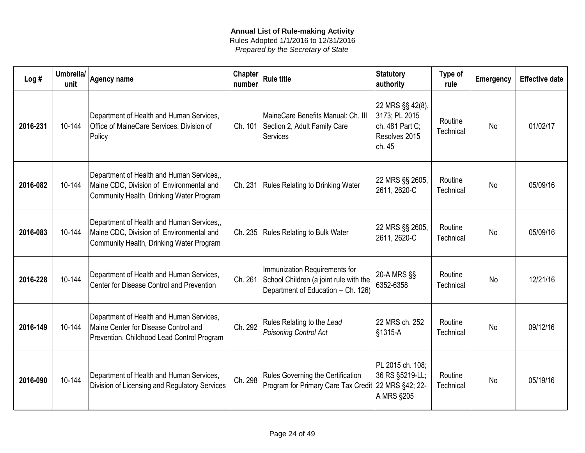| Log#     | Umbrella/<br>unit | <b>Agency name</b>                                                                                                                | Chapter<br>number | <b>Rule title</b>                                                                                              | <b>Statutory</b><br>authority                                                   | Type of<br>rule      | <b>Emergency</b> | <b>Effective date</b> |
|----------|-------------------|-----------------------------------------------------------------------------------------------------------------------------------|-------------------|----------------------------------------------------------------------------------------------------------------|---------------------------------------------------------------------------------|----------------------|------------------|-----------------------|
| 2016-231 | 10-144            | Department of Health and Human Services,<br>Office of MaineCare Services, Division of<br>Policy                                   | Ch. 101           | MaineCare Benefits Manual: Ch. III<br>Section 2, Adult Family Care<br>Services                                 | 22 MRS §§ 42(8),<br>3173; PL 2015<br>ch. 481 Part C;<br>Resolves 2015<br>ch. 45 | Routine<br>Technical | <b>No</b>        | 01/02/17              |
| 2016-082 | 10-144            | Department of Health and Human Services,,<br>Maine CDC, Division of Environmental and<br>Community Health, Drinking Water Program | Ch. 231           | <b>Rules Relating to Drinking Water</b>                                                                        | 22 MRS §§ 2605,<br>2611, 2620-C                                                 | Routine<br>Technical | <b>No</b>        | 05/09/16              |
| 2016-083 | 10-144            | Department of Health and Human Services,,<br>Maine CDC, Division of Environmental and<br>Community Health, Drinking Water Program | Ch. 235           | <b>Rules Relating to Bulk Water</b>                                                                            | 22 MRS §§ 2605,<br>2611, 2620-C                                                 | Routine<br>Technical | <b>No</b>        | 05/09/16              |
| 2016-228 | 10-144            | Department of Health and Human Services,<br>Center for Disease Control and Prevention                                             | Ch. 261           | Immunization Requirements for<br>School Children (a joint rule with the<br>Department of Education -- Ch. 126) | 20-A MRS §§<br>6352-6358                                                        | Routine<br>Technical | <b>No</b>        | 12/21/16              |
| 2016-149 | 10-144            | Department of Health and Human Services,<br>Maine Center for Disease Control and<br>Prevention, Childhood Lead Control Program    | Ch. 292           | Rules Relating to the Lead<br>Poisoning Control Act                                                            | 22 MRS ch. 252<br>$\frac{1}{31315-A}$                                           | Routine<br>Technical | <b>No</b>        | 09/12/16              |
| 2016-090 | 10-144            | Department of Health and Human Services,<br>Division of Licensing and Regulatory Services                                         | Ch. 298           | Rules Governing the Certification<br>Program for Primary Care Tax Credit 22 MRS §42; 22-                       | PL 2015 ch. 108;<br>36 RS §5219-LL;<br>A MRS §205                               | Routine<br>Technical | <b>No</b>        | 05/19/16              |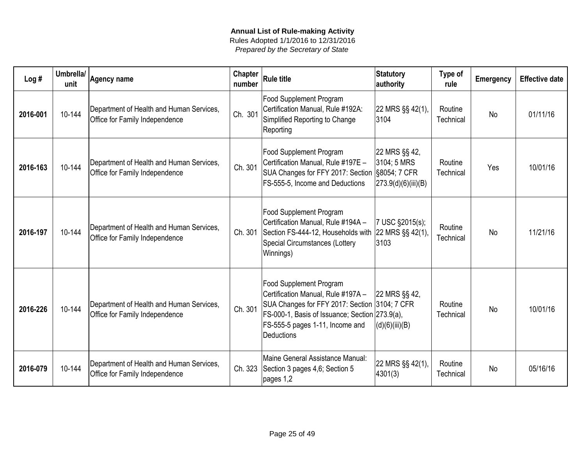| Log#     | Umbrella/<br>unit | <b>Agency name</b>                                                         | <b>Chapter</b><br>number | <b>Rule title</b>                                                                                                                                                                                                        | <b>Statutory</b><br>authority                       | Type of<br>rule      | <b>Emergency</b> | <b>Effective date</b> |
|----------|-------------------|----------------------------------------------------------------------------|--------------------------|--------------------------------------------------------------------------------------------------------------------------------------------------------------------------------------------------------------------------|-----------------------------------------------------|----------------------|------------------|-----------------------|
| 2016-001 | 10-144            | Department of Health and Human Services,<br>Office for Family Independence | Ch. 301                  | <b>Food Supplement Program</b><br>Certification Manual, Rule #192A:<br>Simplified Reporting to Change<br>Reporting                                                                                                       | 22 MRS §§ 42(1),<br>3104                            | Routine<br>Technical | <b>No</b>        | 01/11/16              |
| 2016-163 | 10-144            | Department of Health and Human Services,<br>Office for Family Independence | Ch. 301                  | <b>Food Supplement Program</b><br>Certification Manual, Rule #197E -<br>SUA Changes for FFY 2017: Section §8054; 7 CFR<br>FS-555-5, Income and Deductions                                                                | 22 MRS §§ 42,<br>3104; 5 MRS<br>273.9(d)(6)(iii)(B) | Routine<br>Technical | Yes              | 10/01/16              |
| 2016-197 | 10-144            | Department of Health and Human Services,<br>Office for Family Independence | Ch. 301                  | <b>Food Supplement Program</b><br>Certification Manual, Rule #194A -<br>Section FS-444-12, Households with<br><b>Special Circumstances (Lottery</b><br>Winnings)                                                         | 7 USC §2015(s);<br>22 MRS §§ 42(1),<br>3103         | Routine<br>Technical | <b>No</b>        | 11/21/16              |
| 2016-226 | 10-144            | Department of Health and Human Services,<br>Office for Family Independence | Ch. 301                  | <b>Food Supplement Program</b><br>Certification Manual, Rule #197A -<br>SUA Changes for FFY 2017: Section 3104; 7 CFR<br>FS-000-1, Basis of Issuance; Section 273.9(a),<br>FS-555-5 pages 1-11, Income and<br>Deductions | 22 MRS §§ 42,<br> (d)(6)(iii)(B)                    | Routine<br>Technical | <b>No</b>        | 10/01/16              |
| 2016-079 | 10-144            | Department of Health and Human Services,<br>Office for Family Independence | Ch. 323                  | Maine General Assistance Manual:<br>Section 3 pages 4,6; Section 5<br>pages 1,2                                                                                                                                          | 22 MRS §§ 42(1),<br>4301(3)                         | Routine<br>Technical | <b>No</b>        | 05/16/16              |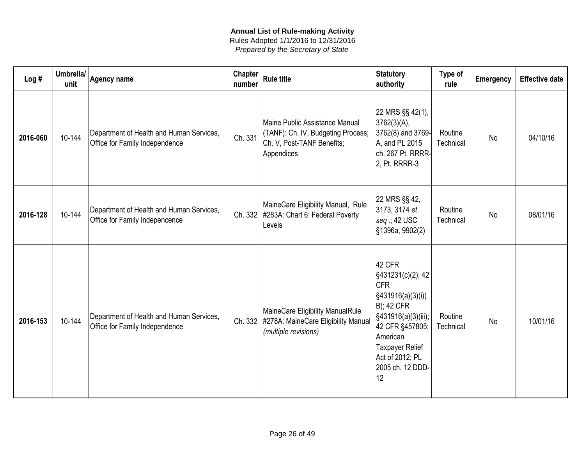| Log#     | Umbrella/<br>unit | <b>Agency name</b>                                                         | <b>Chapter</b><br>number | Rule title                                                                                                       | Statutory<br>authority                                                                                                                                                                                             | Type of<br>rule      | <b>Emergency</b> | <b>Effective date</b> |
|----------|-------------------|----------------------------------------------------------------------------|--------------------------|------------------------------------------------------------------------------------------------------------------|--------------------------------------------------------------------------------------------------------------------------------------------------------------------------------------------------------------------|----------------------|------------------|-----------------------|
| 2016-060 | 10-144            | Department of Health and Human Services,<br>Office for Family Independence | Ch. 331                  | Maine Public Assistance Manual<br>(TANF): Ch. IV, Budgeting Process;<br>Ch. V, Post-TANF Benefits;<br>Appendices | 22 MRS §§ 42(1),<br>3762(3)(A),<br>3762(8) and 3769-<br>A, and PL 2015<br>ch. 267 Pt. RRRR-<br>2, Pt. RRRR-3                                                                                                       | Routine<br>Technical | <b>No</b>        | 04/10/16              |
| 2016-128 | 10-144            | Department of Health and Human Services,<br>Office for Family Indepencence | Ch. 332                  | MaineCare Eligibility Manual, Rule<br>#283A: Chart 6: Federal Poverty<br>Levels                                  | 22 MRS §§ 42,<br>3173, 3174 et<br>$seg: 42$ USC<br>§1396a, 9902(2)                                                                                                                                                 | Routine<br>Technical | <b>No</b>        | 08/01/16              |
| 2016-153 | 10-144            | Department of Health and Human Services,<br>Office for Family Independence | Ch. 332                  | MaineCare Eligibility ManualRule<br>#278A: MaineCare Eligibility Manual<br>(multiple revisions)                  | 42 CFR<br>§431231(c)(2); 42<br><b>ICFR</b><br>§431916(a)(3)(i)(<br><b>B</b> ); 42 CFR<br>§431916(a)(3)(iii);<br>42 CFR §457805;<br>American<br><b>Taxpayer Relief</b><br>Act of 2012; PL<br>2005 ch. 12 DDD-<br>12 | Routine<br>Technical | <b>No</b>        | 10/01/16              |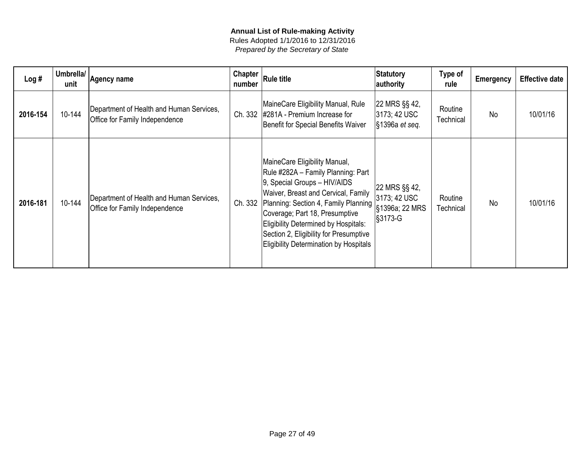| Log#     | Umbrella/<br>unit | Agency name                                                                | Chapter<br>number | <b>Rule title</b>                                                                                                                                                                                                                                                                                                                                                         | Statutory<br>authority                                       | Type of<br>rule      | <b>Emergency</b> | <b>Effective date</b> |
|----------|-------------------|----------------------------------------------------------------------------|-------------------|---------------------------------------------------------------------------------------------------------------------------------------------------------------------------------------------------------------------------------------------------------------------------------------------------------------------------------------------------------------------------|--------------------------------------------------------------|----------------------|------------------|-----------------------|
| 2016-154 | 10-144            | Department of Health and Human Services,<br>Office for Family Independence | Ch. 332           | MaineCare Eligibility Manual, Rule<br>#281A - Premium Increase for<br>Benefit for Special Benefits Waiver                                                                                                                                                                                                                                                                 | 22 MRS §§ 42,<br>3173; 42 USC<br>$\frac{1}{3}$ 1396a et seq. | Routine<br>Technical | <b>No</b>        | 10/01/16              |
| 2016-181 | 10-144            | Department of Health and Human Services,<br>Office for Family Independence | Ch. 332           | MaineCare Eligibility Manual,<br>Rule #282A - Family Planning: Part<br>9, Special Groups - HIV/AIDS<br>Waiver, Breast and Cervical, Family<br>Planning: Section 4, Family Planning   \$1396a; 22 MRS<br>Coverage; Part 18, Presumptive<br>Eligibility Determined by Hospitals:<br>Section 2, Eligibility for Presumptive<br><b>Eligibility Determination by Hospitals</b> | 22 MRS §§ 42,<br>3173; 42 USC<br>$\frac{1}{3}$ 3173-G        | Routine<br>Technical | <b>No</b>        | 10/01/16              |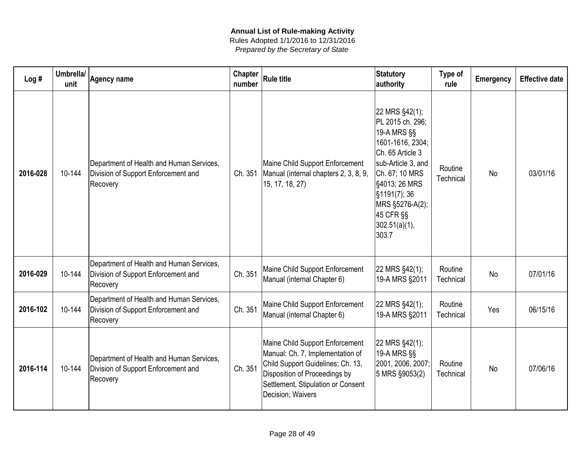| Prepared by the Secretary of State |  |
|------------------------------------|--|

| Log#     | Umbrella/<br>unit | <b>Agency name</b>                                                                          | Chapter<br>number | <b>Rule title</b>                                                                                                                                                                                    | Statutory<br>authority                                                                                                                                                                                                        | Type of<br>rule      | <b>Emergency</b> | <b>Effective date</b> |
|----------|-------------------|---------------------------------------------------------------------------------------------|-------------------|------------------------------------------------------------------------------------------------------------------------------------------------------------------------------------------------------|-------------------------------------------------------------------------------------------------------------------------------------------------------------------------------------------------------------------------------|----------------------|------------------|-----------------------|
| 2016-028 | 10-144            | Department of Health and Human Services,<br>Division of Support Enforcement and<br>Recovery | Ch. 351           | Maine Child Support Enforcement<br>Manual (internal chapters 2, 3, 8, 9,<br>15, 17, 18, 27)                                                                                                          | 22 MRS §42(1);<br>PL 2015 ch. 296;<br>19-A MRS §§<br>1601-1616, 2304;<br>Ch. 65 Article 3<br>sub-Article 3, and<br>Ch. 67; 10 MRS<br>\$4013; 26 MRS<br>§1191(7); 36<br>MRS §5276-A(2);<br>45 CFR §§<br>302.51(a)(1),<br>303.7 | Routine<br>Technical | <b>No</b>        | 03/01/16              |
| 2016-029 | 10-144            | Department of Health and Human Services,<br>Division of Support Enforcement and<br>Recovery | Ch. 351           | Maine Child Support Enforcement<br>Manual (internal Chapter 6)                                                                                                                                       | 22 MRS §42(1);<br>19-A MRS §2011                                                                                                                                                                                              | Routine<br>Technical | No               | 07/01/16              |
| 2016-102 | 10-144            | Department of Health and Human Services,<br>Division of Support Enforcement and<br>Recovery | Ch. 351           | Maine Child Support Enforcement<br>Manual (internal Chapter 6)                                                                                                                                       | 22 MRS §42(1);<br>19-A MRS §2011                                                                                                                                                                                              | Routine<br>Technical | Yes              | 06/15/16              |
| 2016-114 | 10-144            | Department of Health and Human Services,<br>Division of Support Enforcement and<br>Recovery | Ch. 351           | Maine Child Support Enforcement<br>Manual: Ch. 7, Implementation of<br>Child Support Guidelines; Ch. 13,<br>Disposition of Proceedings by<br>Settlement, Stipulation or Consent<br>Decision; Waivers | 22 MRS §42(1);<br>19-A MRS §§<br>2001, 2006, 2007;<br>5 MRS §9053(2)                                                                                                                                                          | Routine<br>Technical | <b>No</b>        | 07/06/16              |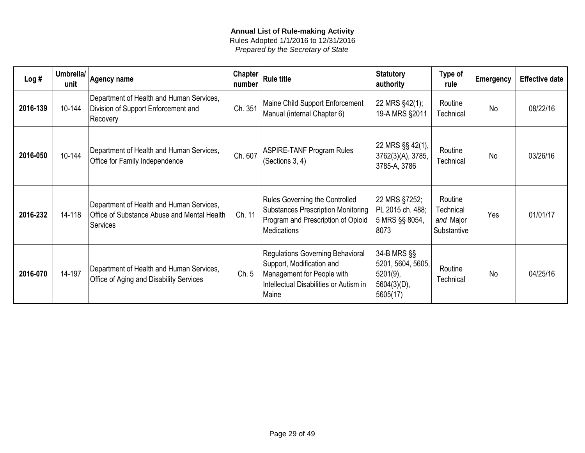| Log#     | Umbrella/<br>unit | Agency name                                                                                                | <b>Chapter</b><br>number | <b>Rule title</b>                                                                                                                              | Statutory<br>authority                                                           | Type of<br>rule                                  | <b>Emergency</b> | <b>Effective date</b> |
|----------|-------------------|------------------------------------------------------------------------------------------------------------|--------------------------|------------------------------------------------------------------------------------------------------------------------------------------------|----------------------------------------------------------------------------------|--------------------------------------------------|------------------|-----------------------|
| 2016-139 | 10-144            | Department of Health and Human Services,<br>Division of Support Enforcement and<br>Recovery                | Ch. 351                  | Maine Child Support Enforcement<br>Manual (internal Chapter 6)                                                                                 | 22 MRS §42(1);<br>19-A MRS §2011                                                 | Routine<br>Technical                             | <b>No</b>        | 08/22/16              |
| 2016-050 | 10-144            | Department of Health and Human Services,<br>Office for Family Independence                                 | Ch. 607                  | <b>ASPIRE-TANF Program Rules</b><br>(Sections 3, 4)                                                                                            | 22 MRS §§ 42(1),<br>3762(3)(A), 3785,<br>3785-A, 3786                            | Routine<br>Technical                             | <b>No</b>        | 03/26/16              |
| 2016-232 | 14-118            | Department of Health and Human Services,<br>Office of Substance Abuse and Mental Health<br><b>Services</b> | Ch. 11                   | <b>Rules Governing the Controlled</b><br><b>Substances Prescription Monitoring</b><br>Program and Prescription of Opioid<br>Medications        | 22 MRS §7252;<br>PL 2015 ch. 488;<br>5 MRS §§ 8054,<br>8073                      | Routine<br>Technical<br>and Major<br>Substantive | Yes              | 01/01/17              |
| 2016-070 | 14-197            | Department of Health and Human Services,<br>Office of Aging and Disability Services                        | Ch. 5                    | Regulations Governing Behavioral<br>Support, Modification and<br>Management for People with<br>Intellectual Disabilities or Autism in<br>Maine | $34 - B$ MRS $\S$<br>5201, 5604, 5605,<br>$5201(9)$ ,<br>5604(3)(D),<br>5605(17) | Routine<br>Technical                             | <b>No</b>        | 04/25/16              |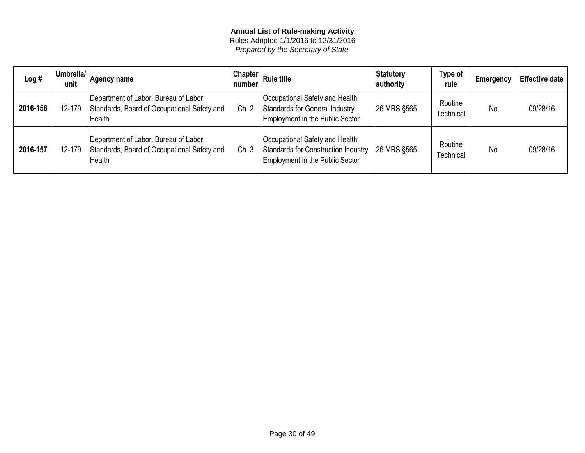| Log#     | Umbrella/<br>unit | Agency name                                                                                   | Chapter<br>number | <b>Rule title</b>                                                                                        | Statutory<br>authority | Type of<br>rule             | <b>Emergency</b> | <b>Effective date</b> |
|----------|-------------------|-----------------------------------------------------------------------------------------------|-------------------|----------------------------------------------------------------------------------------------------------|------------------------|-----------------------------|------------------|-----------------------|
| 2016-156 | 12-179            | Department of Labor, Bureau of Labor<br>Standards, Board of Occupational Safety and<br>Health | Ch. 2             | Occupational Safety and Health<br>Standards for General Industry<br>Employment in the Public Sector      | 26 MRS §565            | Routine<br><b>Fechnical</b> | No               | 09/28/16              |
| 2016-157 | 12-179            | Department of Labor, Bureau of Labor<br>Standards, Board of Occupational Safety and<br>Health | Ch.3              | Occupational Safety and Health<br>Standards for Construction Industry<br>Employment in the Public Sector | <b>26 MRS \$565</b>    | Routine<br><b>Fechnical</b> | No               | 09/28/16              |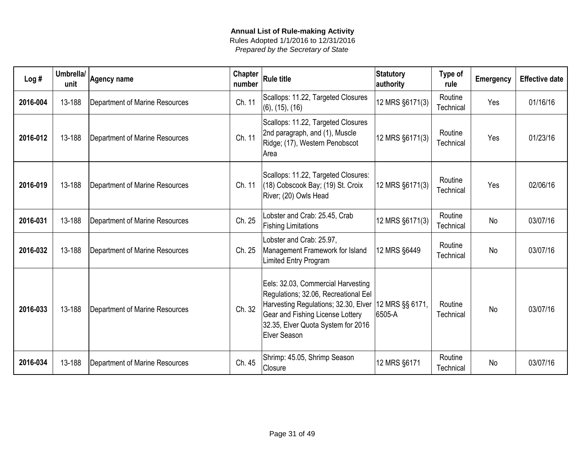| Log#     | Umbrella/<br>unit | Agency name                    | <b>Chapter</b><br>number | <b>Rule title</b>                                                                                                                                                                                                              | <b>Statutory</b><br>authority | Type of<br>rule      | <b>Emergency</b> | <b>Effective date</b> |
|----------|-------------------|--------------------------------|--------------------------|--------------------------------------------------------------------------------------------------------------------------------------------------------------------------------------------------------------------------------|-------------------------------|----------------------|------------------|-----------------------|
| 2016-004 | 13-188            | Department of Marine Resources | Ch. 11                   | Scallops: 11.22, Targeted Closures<br>$(6)$ , $(15)$ , $(16)$                                                                                                                                                                  | 12 MRS §6171(3)               | Routine<br>Technical | Yes              | 01/16/16              |
| 2016-012 | 13-188            | Department of Marine Resources | Ch. 11                   | Scallops: 11.22, Targeted Closures<br>2nd paragraph, and (1), Muscle<br>Ridge; (17), Western Penobscot<br>Area                                                                                                                 | 12 MRS §6171(3)               | Routine<br>Technical | Yes              | 01/23/16              |
| 2016-019 | 13-188            | Department of Marine Resources | Ch. 11                   | Scallops: 11.22, Targeted Closures:<br>(18) Cobscook Bay; (19) St. Croix<br>River; (20) Owls Head                                                                                                                              | 12 MRS §6171(3)               | Routine<br>Technical | Yes              | 02/06/16              |
| 2016-031 | 13-188            | Department of Marine Resources | Ch. 25                   | Lobster and Crab: 25.45, Crab<br><b>Fishing Limitations</b>                                                                                                                                                                    | 12 MRS §6171(3)               | Routine<br>Technical | <b>No</b>        | 03/07/16              |
| 2016-032 | 13-188            | Department of Marine Resources | Ch. 25                   | Lobster and Crab: 25.97,<br>Management Framework for Island<br>Limited Entry Program                                                                                                                                           | 12 MRS §6449                  | Routine<br>Technical | <b>No</b>        | 03/07/16              |
| 2016-033 | 13-188            | Department of Marine Resources | Ch. 32                   | Eels: 32.03, Commercial Harvesting<br>Regulations; 32.06, Recreational Eel<br>Harvesting Regulations; 32.30, Elver   12 MRS §§ 6171,<br>Gear and Fishing License Lottery<br>32.35, Elver Quota System for 2016<br>Elver Season | 6505-A                        | Routine<br>Technical | <b>No</b>        | 03/07/16              |
| 2016-034 | 13-188            | Department of Marine Resources | Ch. 45                   | Shrimp: 45.05, Shrimp Season<br>Closure                                                                                                                                                                                        | 12 MRS §6171                  | Routine<br>Technical | <b>No</b>        | 03/07/16              |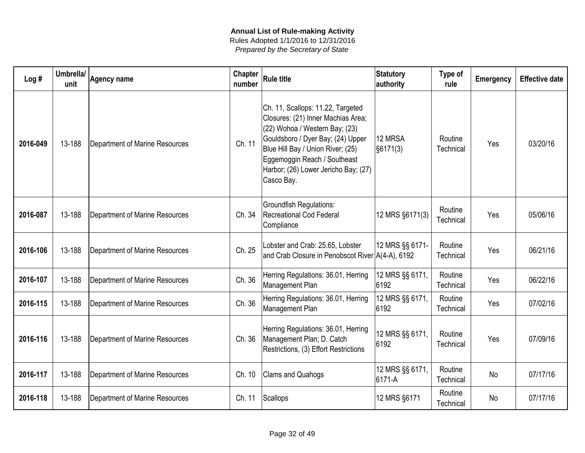| Log#     | Umbrella/<br>unit | <b>Agency name</b>             | Chapter<br>number | <b>Rule title</b>                                                                                                                                                                                                                                                         | <b>Statutory</b><br>authority   | Type of<br>rule      | Emergency | <b>Effective date</b> |
|----------|-------------------|--------------------------------|-------------------|---------------------------------------------------------------------------------------------------------------------------------------------------------------------------------------------------------------------------------------------------------------------------|---------------------------------|----------------------|-----------|-----------------------|
| 2016-049 | 13-188            | Department of Marine Resources | Ch. 11            | Ch. 11, Scallops: 11.22, Targeted<br>Closures: (21) Inner Machias Area;<br>(22) Wohoa / Western Bay; (23)<br>Gouldsboro / Dyer Bay; (24) Upper<br>Blue Hill Bay / Union River; (25)<br>Eggemoggin Reach / Southeast<br>Harbor; (26) Lower Jericho Bay; (27)<br>Casco Bay. | 12 MRSA<br>$\frac{1}{56171(3)}$ | Routine<br>Technical | Yes       | 03/20/16              |
| 2016-087 | 13-188            | Department of Marine Resources | Ch. 34            | <b>Groundfish Regulations:</b><br><b>Recreational Cod Federal</b><br>Compliance                                                                                                                                                                                           | 12 MRS §6171(3)                 | Routine<br>Technical | Yes       | 05/06/16              |
| 2016-106 | 13-188            | Department of Marine Resources | Ch. 25            | Lobster and Crab: 25.65, Lobster<br>and Crab Closure in Penobscot River A(4-A), 6192                                                                                                                                                                                      | 12 MRS §§ 6171-                 | Routine<br>Technical | Yes       | 06/21/16              |
| 2016-107 | 13-188            | Department of Marine Resources | Ch. 36            | Herring Regulations: 36.01, Herring<br>Management Plan                                                                                                                                                                                                                    | 12 MRS §§ 6171,<br>6192         | Routine<br>Technical | Yes       | 06/22/16              |
| 2016-115 | 13-188            | Department of Marine Resources | Ch. 36            | Herring Regulations: 36.01, Herring<br>Management Plan                                                                                                                                                                                                                    | 12 MRS §§ 6171,<br>6192         | Routine<br>Technical | Yes       | 07/02/16              |
| 2016-116 | 13-188            | Department of Marine Resources | Ch. 36            | Herring Regulations: 36.01, Herring<br>Management Plan; D. Catch<br>Restrictions, (3) Effort Restrictions                                                                                                                                                                 | 12 MRS §§ 6171,<br>6192         | Routine<br>Technical | Yes       | 07/09/16              |
| 2016-117 | 13-188            | Department of Marine Resources | Ch. 10            | Clams and Quahogs                                                                                                                                                                                                                                                         | 12 MRS §§ 6171,<br>6171-A       | Routine<br>Technical | <b>No</b> | 07/17/16              |
| 2016-118 | 13-188            | Department of Marine Resources | Ch. 11            | Scallops                                                                                                                                                                                                                                                                  | 12 MRS §6171                    | Routine<br>Technical | No        | 07/17/16              |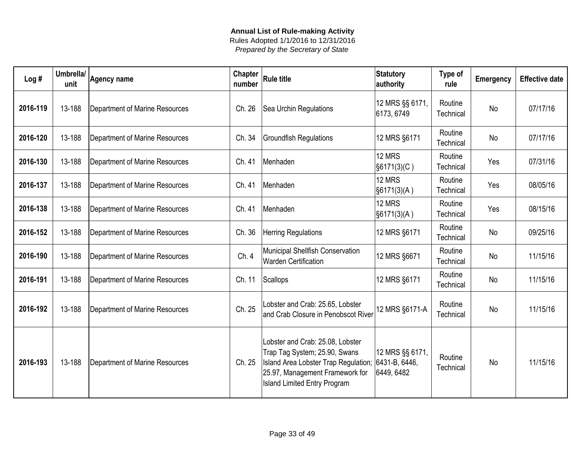| Log#     | Umbrella/<br>unit | <b>Agency name</b>             | <b>Chapter</b><br>number | <b>Rule title</b>                                                                                                                                                                  | <b>Statutory</b><br>authority                  | Type of<br>rule      | Emergency | <b>Effective date</b> |
|----------|-------------------|--------------------------------|--------------------------|------------------------------------------------------------------------------------------------------------------------------------------------------------------------------------|------------------------------------------------|----------------------|-----------|-----------------------|
| 2016-119 | 13-188            | Department of Marine Resources | Ch. 26                   | Sea Urchin Regulations                                                                                                                                                             | 12 MRS §§ 6171,<br>6173, 6749                  | Routine<br>Technical | <b>No</b> | 07/17/16              |
| 2016-120 | 13-188            | Department of Marine Resources | Ch. 34                   | <b>Groundfish Regulations</b>                                                                                                                                                      | 12 MRS §6171                                   | Routine<br>Technical | No        | 07/17/16              |
| 2016-130 | 13-188            | Department of Marine Resources | Ch. 41                   | Menhaden                                                                                                                                                                           | 12 MRS<br>$ \$6171(3)(C)\$                     | Routine<br>Technical | Yes       | 07/31/16              |
| 2016-137 | 13-188            | Department of Marine Resources | Ch. 41                   | Menhaden                                                                                                                                                                           | 12 MRS<br>$ \$6171(3)(A)$                      | Routine<br>Technical | Yes       | 08/05/16              |
| 2016-138 | 13-188            | Department of Marine Resources | Ch. 41                   | Menhaden                                                                                                                                                                           | 12 MRS<br>$ \$6171(3)(A) $                     | Routine<br>Technical | Yes       | 08/15/16              |
| 2016-152 | 13-188            | Department of Marine Resources | Ch. 36                   | <b>Herring Regulations</b>                                                                                                                                                         | 12 MRS §6171                                   | Routine<br>Technical | <b>No</b> | 09/25/16              |
| 2016-190 | 13-188            | Department of Marine Resources | Ch. 4                    | Municipal Shellfish Conservation<br><b>Warden Certification</b>                                                                                                                    | 12 MRS §6671                                   | Routine<br>Technical | <b>No</b> | 11/15/16              |
| 2016-191 | 13-188            | Department of Marine Resources | Ch. 11                   | Scallops                                                                                                                                                                           | 12 MRS §6171                                   | Routine<br>Technical | <b>No</b> | 11/15/16              |
| 2016-192 | 13-188            | Department of Marine Resources | Ch. 25                   | Lobster and Crab: 25.65, Lobster<br>and Crab Closure in Penobscot River                                                                                                            | 12 MRS §6171-A                                 | Routine<br>Technical | No        | 11/15/16              |
| 2016-193 | 13-188            | Department of Marine Resources | Ch. 25                   | Lobster and Crab: 25.08, Lobster<br>Trap Tag System; 25.90, Swans<br>Island Area Lobster Trap Regulation<br>25.97, Management Framework for<br><b>Island Limited Entry Program</b> | 12 MRS §§ 6171,<br>6431-B, 6446,<br>6449, 6482 | Routine<br>Technical | No        | 11/15/16              |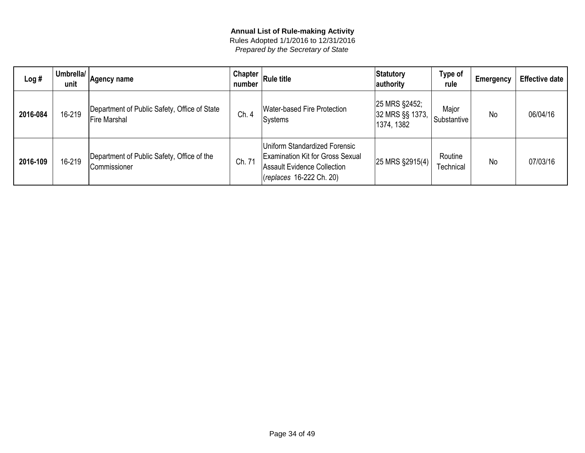| Log#     | Umbrella/<br>unit | Agency name                                                  | Chapter $ $<br>number | <b>Rule title</b>                                                                                                                   | Statutory<br>authority                         | Type of<br>rule      | Emergency | <b>Effective date</b> |
|----------|-------------------|--------------------------------------------------------------|-----------------------|-------------------------------------------------------------------------------------------------------------------------------------|------------------------------------------------|----------------------|-----------|-----------------------|
| 2016-084 | 16-219            | Department of Public Safety, Office of State<br>Fire Marshal | Ch. 4                 | Water-based Fire Protection<br>Systems                                                                                              | 25 MRS §2452;<br>32 MRS §§ 1373,<br>1374, 1382 | Major<br>Substantive | <b>No</b> | 06/04/16              |
| 2016-109 | 16-219            | Department of Public Safety, Office of the<br>Commissioner   | Ch. 71                | Uniform Standardized Forensic<br><b>Examination Kit for Gross Sexual</b><br>Assault Evidence Collection<br>(replaces 16-222 Ch. 20) | 25 MRS §2915(4)                                | Routine<br>Technical | No        | 07/03/16              |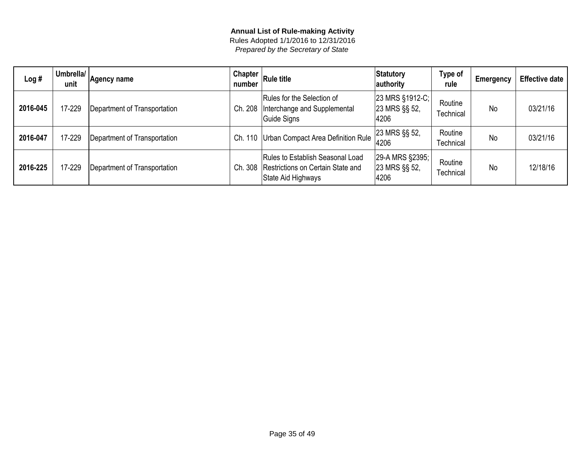| Log#     | Umbrella/<br>unit | Agency name                  | number     | $\mid$ Chapter $\mid$ Rule title                                                            | Statutory<br>authority                   | Type of<br>rule      | <b>Emergency</b> | <b>Effective date</b> |
|----------|-------------------|------------------------------|------------|---------------------------------------------------------------------------------------------|------------------------------------------|----------------------|------------------|-----------------------|
| 2016-045 | 17-229            | Department of Transportation | Ch. 208    | Rules for the Selection of<br>Interchange and Supplemental<br>Guide Signs                   | 23 MRS §1912-C;<br>23 MRS §§ 52,<br>4206 | Routine<br>Technical | <b>No</b>        | 03/21/16              |
| 2016-047 | 17-229            | Department of Transportation | 110<br>Ch. | Urban Compact Area Definition Rule                                                          | 23 MRS §§ 52,<br>4206                    | Routine<br>Technical | <b>No</b>        | 03/21/16              |
| 2016-225 | 17-229            | Department of Transportation | Ch. 308    | Rules to Establish Seasonal Load<br>Restrictions on Certain State and<br>State Aid Highways | 29-A MRS §2395;<br>23 MRS §§ 52,<br>4206 | Routine<br>Technical | <b>No</b>        | 12/18/16              |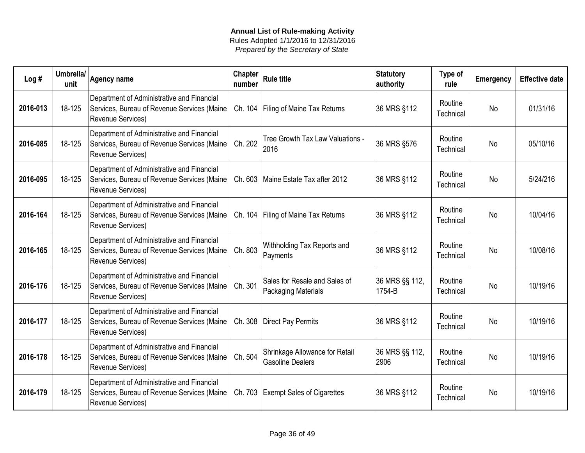| Log#     | Umbrella/<br>unit | <b>Agency name</b>                                                                                                    | Chapter<br>number | <b>Rule title</b>                                         | Statutory<br>authority   | Type of<br>rule      | <b>Emergency</b> | <b>Effective date</b> |
|----------|-------------------|-----------------------------------------------------------------------------------------------------------------------|-------------------|-----------------------------------------------------------|--------------------------|----------------------|------------------|-----------------------|
| 2016-013 | 18-125            | Department of Administrative and Financial<br>Services, Bureau of Revenue Services (Maine<br><b>Revenue Services)</b> | Ch. 104           | <b>Filing of Maine Tax Returns</b>                        | 36 MRS §112              | Routine<br>Technical | No               | 01/31/16              |
| 2016-085 | 18-125            | Department of Administrative and Financial<br>Services, Bureau of Revenue Services (Maine<br>Revenue Services)        | Ch. 202           | Tree Growth Tax Law Valuations -<br>2016                  | 36 MRS §576              | Routine<br>Technical | <b>No</b>        | 05/10/16              |
| 2016-095 | 18-125            | Department of Administrative and Financial<br>Services, Bureau of Revenue Services (Maine<br>Revenue Services)        | Ch. 603           | Maine Estate Tax after 2012                               | 36 MRS §112              | Routine<br>Technical | No               | 5/24/216              |
| 2016-164 | 18-125            | Department of Administrative and Financial<br>Services, Bureau of Revenue Services (Maine<br>Revenue Services)        | Ch. 104           | <b>Filing of Maine Tax Returns</b>                        | 36 MRS §112              | Routine<br>Technical | <b>No</b>        | 10/04/16              |
| 2016-165 | 18-125            | Department of Administrative and Financial<br>Services, Bureau of Revenue Services (Maine<br><b>Revenue Services)</b> | Ch. 803           | Withholding Tax Reports and<br>Payments                   | 36 MRS §112              | Routine<br>Technical | <b>No</b>        | 10/08/16              |
| 2016-176 | 18-125            | Department of Administrative and Financial<br>Services, Bureau of Revenue Services (Maine<br>Revenue Services)        | Ch. 301           | Sales for Resale and Sales of<br>Packaging Materials      | 36 MRS §§ 112,<br>1754-B | Routine<br>Technical | <b>No</b>        | 10/19/16              |
| 2016-177 | 18-125            | Department of Administrative and Financial<br>Services, Bureau of Revenue Services (Maine<br>Revenue Services)        | Ch. 308           | Direct Pay Permits                                        | 36 MRS §112              | Routine<br>Technical | <b>No</b>        | 10/19/16              |
| 2016-178 | 18-125            | Department of Administrative and Financial<br>Services, Bureau of Revenue Services (Maine<br><b>Revenue Services)</b> | Ch. 504           | Shrinkage Allowance for Retail<br><b>Gasoline Dealers</b> | 36 MRS §§ 112,<br>2906   | Routine<br>Technical | <b>No</b>        | 10/19/16              |
| 2016-179 | 18-125            | Department of Administrative and Financial<br>Services, Bureau of Revenue Services (Maine<br>Revenue Services)        | Ch. 703           | <b>Exempt Sales of Cigarettes</b>                         | 36 MRS §112              | Routine<br>Technical | <b>No</b>        | 10/19/16              |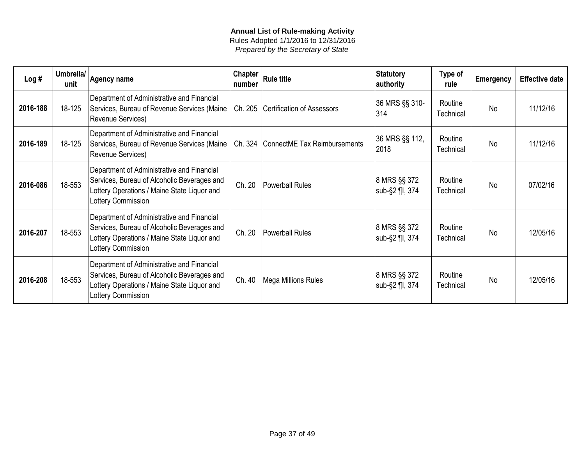| Log#     | Umbrella/<br>unit | <b>Agency name</b>                                                                                                                                             | Chapter<br>number | <b>Rule title</b>            | Statutory<br>authority         | Type of<br>rule      | <b>Emergency</b> | <b>Effective date</b> |
|----------|-------------------|----------------------------------------------------------------------------------------------------------------------------------------------------------------|-------------------|------------------------------|--------------------------------|----------------------|------------------|-----------------------|
| 2016-188 | 18-125            | Department of Administrative and Financial<br>Services, Bureau of Revenue Services (Maine<br>Revenue Services)                                                 | Ch. 205           | Certification of Assessors   | 36 MRS §§ 310-<br>314          | Routine<br>Technical | <b>No</b>        | 11/12/16              |
| 2016-189 | 18-125            | Department of Administrative and Financial<br>Services, Bureau of Revenue Services (Maine<br>Revenue Services)                                                 | Ch. 324           | ConnectME Tax Reimbursements | 36 MRS §§ 112,<br>2018         | Routine<br>Technical | <b>No</b>        | 11/12/16              |
| 2016-086 | 18-553            | Department of Administrative and Financial<br>Services, Bureau of Alcoholic Beverages and<br>Lottery Operations / Maine State Liquor and<br>Lottery Commission | Ch. 20            | Powerball Rules              | 8 MRS §§ 372<br>sub-§2 ¶I, 374 | Routine<br>Technical | <b>No</b>        | 07/02/16              |
| 2016-207 | 18-553            | Department of Administrative and Financial<br>Services, Bureau of Alcoholic Beverages and<br>Lottery Operations / Maine State Liquor and<br>Lottery Commission | Ch. 20            | Powerball Rules              | 8 MRS §§ 372<br>sub-§2 ¶I, 374 | Routine<br>Technical | <b>No</b>        | 12/05/16              |
| 2016-208 | 18-553            | Department of Administrative and Financial<br>Services, Bureau of Alcoholic Beverages and<br>Lottery Operations / Maine State Liquor and<br>Lottery Commission | Ch. 40            | Mega Millions Rules          | 8 MRS §§ 372<br>sub-§2 ¶I, 374 | Routine<br>Technical | <b>No</b>        | 12/05/16              |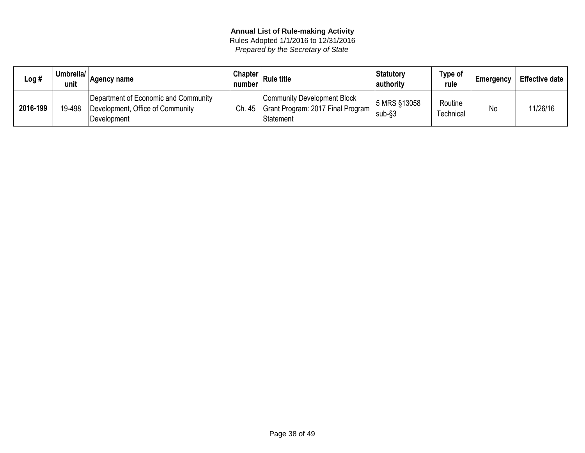| Log #    | Umbrella/<br>unit | Agency name                                                                             | <b>Chapter</b><br>number | <b>Rule title</b>                                                             | Statutory<br>authority     | Type of<br>rule             | Emergency | <b>Effective date</b> |
|----------|-------------------|-----------------------------------------------------------------------------------------|--------------------------|-------------------------------------------------------------------------------|----------------------------|-----------------------------|-----------|-----------------------|
| 2016-199 | 19-498            | Department of Economic and Community<br>Development, Office of Community<br>Development | Ch. 45                   | Community Development Block<br>Grant Program: 2017 Final Program<br>Statement | 5 MRS §13058<br>$ sub-$ §3 | Routine<br><b>Fechnical</b> | Nc        | 11/26/16              |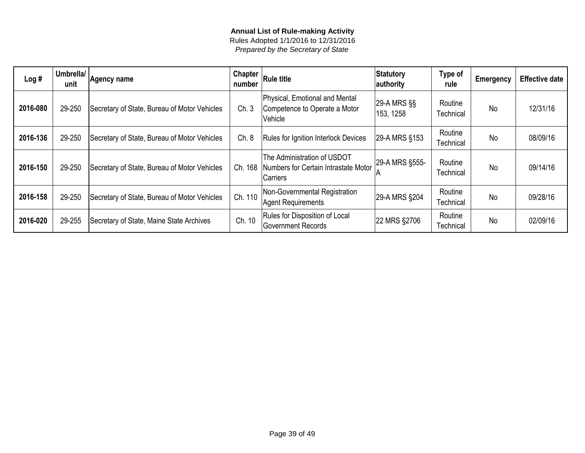| Log#     | Umbrella/<br>unit | Agency name                                  | Chapter<br>number | <b>Rule title</b>                                                               | Statutory<br>authority        | Type of<br>rule      | <b>Emergency</b> | <b>Effective date</b> |
|----------|-------------------|----------------------------------------------|-------------------|---------------------------------------------------------------------------------|-------------------------------|----------------------|------------------|-----------------------|
| 2016-080 | 29-250            | Secretary of State, Bureau of Motor Vehicles | Ch.3              | Physical, Emotional and Mental<br>Competence to Operate a Motor<br>Vehicle      | $ 29-A$ MRS $\S$<br>153, 1258 | Routine<br>Technical | <b>No</b>        | 12/31/16              |
| 2016-136 | 29-250            | Secretary of State, Bureau of Motor Vehicles | Ch. 8             | Rules for Ignition Interlock Devices                                            | 29-A MRS §153                 | Routine<br>Technical | No               | 08/09/16              |
| 2016-150 | 29-250            | Secretary of State, Bureau of Motor Vehicles | Ch. 168           | The Administration of USDOT<br>Numbers for Certain Intrastate Motor<br>Carriers | 29-A MRS §555-                | Routine<br>Technical | <b>No</b>        | 09/14/16              |
| 2016-158 | 29-250            | Secretary of State, Bureau of Motor Vehicles | Ch. 110           | Non-Governmental Registration<br>Agent Requirements                             | 29-A MRS §204                 | Routine<br>Technical | <b>No</b>        | 09/28/16              |
| 2016-020 | 29-255            | Secretary of State, Maine State Archives     | Ch. 10            | Rules for Disposition of Local<br><b>Government Records</b>                     | 22 MRS §2706                  | Routine<br>Technical | <b>No</b>        | 02/09/16              |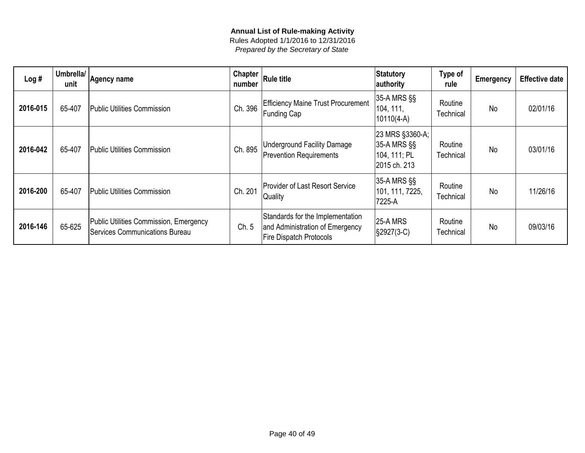| Log#     | Umbrella/<br>unit | Agency name                                                                     | Chapter<br>number | <b>Rule title</b>                                                                                     | Statutory<br>authority                                         | Type of<br>rule      | <b>Emergency</b> | <b>Effective date</b> |
|----------|-------------------|---------------------------------------------------------------------------------|-------------------|-------------------------------------------------------------------------------------------------------|----------------------------------------------------------------|----------------------|------------------|-----------------------|
| 2016-015 | 65-407            | Public Utilities Commission                                                     | Ch. 396           | <b>Efficiency Maine Trust Procurement</b><br>Funding Cap                                              | 35-A MRS §§<br>104, 111,<br>$10110(4-A)$                       | Routine<br>Technical | No               | 02/01/16              |
| 2016-042 | 65-407            | Public Utilities Commission                                                     | Ch. 895           | <b>Underground Facility Damage</b><br><b>Prevention Requirements</b>                                  | 23 MRS §3360-A;<br>35-A MRS §§<br>104, 111; PL<br>2015 ch. 213 | Routine<br>Technical | <b>No</b>        | 03/01/16              |
| 2016-200 | 65-407            | Public Utilities Commission                                                     | Ch. 201           | <b>Provider of Last Resort Service</b><br>Quality                                                     | 35-A MRS §§<br>101, 111, 7225,<br>7225-A                       | Routine<br>Technical | <b>No</b>        | 11/26/16              |
| 2016-146 | 65-625            | Public Utilities Commission, Emergency<br><b>Services Communications Bureau</b> | Ch. 5             | Standards for the Implementation<br>and Administration of Emergency<br><b>Fire Dispatch Protocols</b> | <b>25-A MRS</b><br>S2927(3-C)                                  | Routine<br>Technical | <b>No</b>        | 09/03/16              |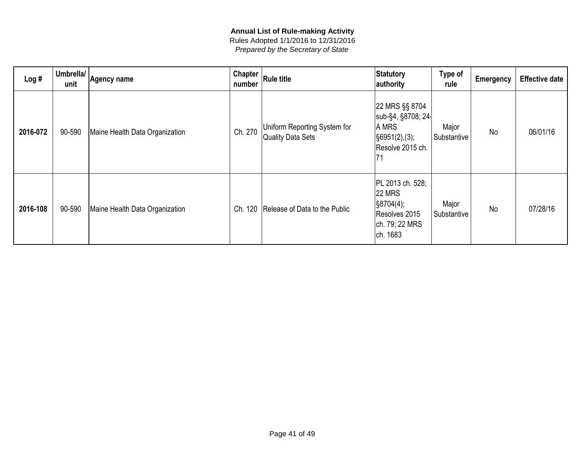| Log#     | Umbrella/<br>unit | Agency name                    | Chapter<br>number | <b>Rule title</b>                                 | Statutory<br>authority                                                                                      | <b>Type of</b><br>rule | Emergency | <b>Effective date</b> |
|----------|-------------------|--------------------------------|-------------------|---------------------------------------------------|-------------------------------------------------------------------------------------------------------------|------------------------|-----------|-----------------------|
| 2016-072 | 90-590            | Maine Health Data Organization | Ch. 270           | Uniform Reporting System for<br>Quality Data Sets | 22 MRS §§ 8704<br>sub-§4, §8708; 24<br>A MRS<br>$\vert$ §6951(2),(3);<br>Resolve 2015 ch.                   | Major<br>Substantive   | <b>No</b> | 06/01/16              |
| 2016-108 | 90-590            | Maine Health Data Organization | 120<br>Ch.        | Release of Data to the Public                     | PL 2013 ch. 528;<br><b>22 MRS</b><br>$\frac{1}{2}$ §8704(4);<br>Resolves 2015<br>ch. 79; 22 MRS<br>ch. 1683 | Major<br>Substantive   | <b>No</b> | 07/28/16              |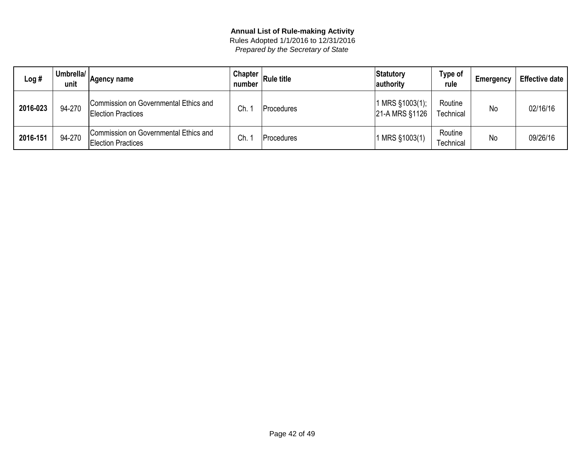| Log #    | Umbrella/<br>unit | Agency name                                                        | <b>Chapter</b><br>number | <b>Rule title</b> | Statutory<br>authority            | <b>Type of</b><br>rule      | Emergency | <b>Effective date</b> |
|----------|-------------------|--------------------------------------------------------------------|--------------------------|-------------------|-----------------------------------|-----------------------------|-----------|-----------------------|
| 2016-023 | 94-270            | Commission on Governmental Ethics and<br><b>Election Practices</b> | Ch.                      | l Procedures      | 1 MRS §1003(1);<br>21-A MRS §1126 | Routine<br><b>Fechnical</b> | No        | 02/16/16              |
| 2016-151 | 94-270            | Commission on Governmental Ethics and<br><b>Election Practices</b> | Ch.                      | Procedures        | 1 MRS §1003(1)                    | Routine<br><b>Fechnical</b> | No        | 09/26/16              |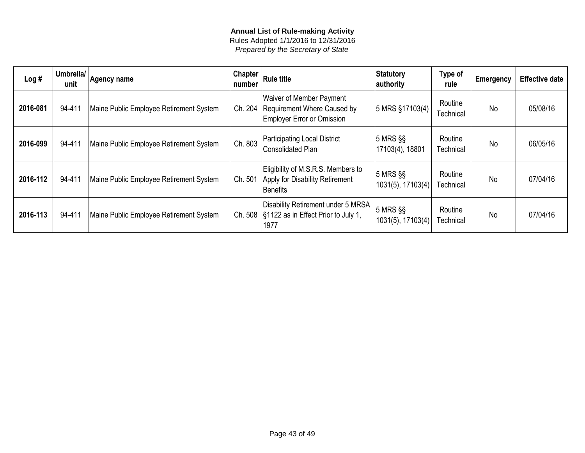| Log#     | Umbrella/<br>unit | Agency name                             | <b>Chapter</b><br>number | <b>Rule title</b>                                                                                     | Statutory<br>authority             | Type of<br>rule      | <b>Emergency</b> | <b>Effective date</b> |
|----------|-------------------|-----------------------------------------|--------------------------|-------------------------------------------------------------------------------------------------------|------------------------------------|----------------------|------------------|-----------------------|
| 2016-081 | 94-411            | Maine Public Employee Retirement System | Ch. 204                  | <b>Waiver of Member Payment</b><br>Requirement Where Caused by<br><b>Employer Error or Omission</b>   | 5 MRS §17103(4)                    | Routine<br>Technical | <b>No</b>        | 05/08/16              |
| 2016-099 | 94-411            | Maine Public Employee Retirement System | Ch. 803                  | <b>Participating Local District</b><br><b>Consolidated Plan</b>                                       | $ 5$ MRS $\S$<br> 17103(4), 18801  | Routine<br>Technical | <b>No</b>        | 06/05/16              |
| 2016-112 | 94-411            | Maine Public Employee Retirement System | Ch. 501                  | Eligibility of M.S.R.S. Members to<br>Apply for Disability Retirement<br>Benefits                     | $ 5$ MRS $\S$<br>1031(5), 17103(4) | Routine<br>Technical | No               | 07/04/16              |
| 2016-113 | 94-411            | Maine Public Employee Retirement System |                          | Disability Retirement under 5 MRSA<br>Ch. 508 $\frac{1}{3}1122$ as in Effect Prior to July 1,<br>1977 | $ 5$ MRS $\S$<br>1031(5), 17103(4) | Routine<br>Technical | No               | 07/04/16              |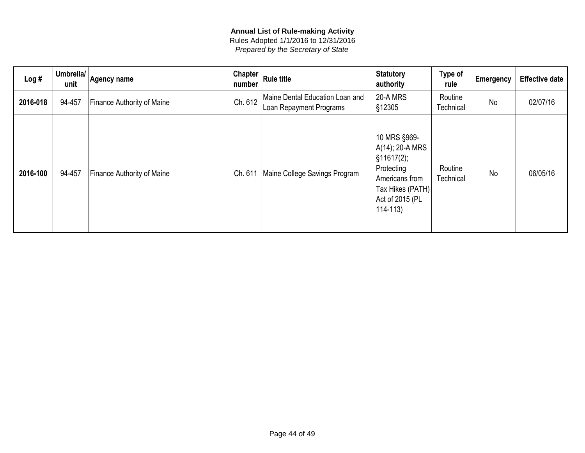| Log#     | Umbrella/<br>unit | Agency name                       | <b>Chapter</b><br>number | <b>Rule title</b>                                          | Statutory<br>authority                                                                                                                           | Type of<br>rule      | <b>Emergency</b> | <b>Effective date</b> |
|----------|-------------------|-----------------------------------|--------------------------|------------------------------------------------------------|--------------------------------------------------------------------------------------------------------------------------------------------------|----------------------|------------------|-----------------------|
| 2016-018 | 94-457            | <b>Finance Authority of Maine</b> | Ch. 612                  | Maine Dental Education Loan and<br>Loan Repayment Programs | <b>20-A MRS</b><br><b>§12305</b>                                                                                                                 | Routine<br>Technical | No               | 02/07/16              |
| 2016-100 | 94-457            | <b>Finance Authority of Maine</b> | Ch. 611                  | Maine College Savings Program                              | 10 MRS §969-<br>$A(14)$ ; 20-A MRS<br>$\frac{1}{3}11617(2)$ ;<br>Protecting<br>Americans from<br>Tax Hikes (PATH)<br>Act of 2015 (PL<br>114-113) | Routine<br>Technical | <b>No</b>        | 06/05/16              |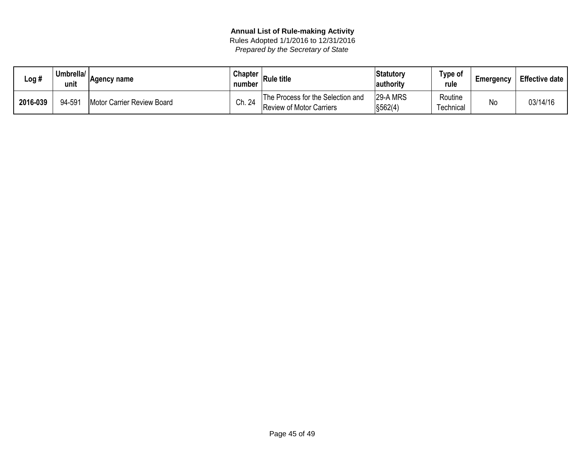| Log #    | Umbrella/<br>unit | Agency name                | <b>Chapter</b><br>number | <b>Rule title</b>                                                    | Statutory<br>authority         | Type of<br>rule     | Emergency | <b>Effective date</b> |
|----------|-------------------|----------------------------|--------------------------|----------------------------------------------------------------------|--------------------------------|---------------------|-----------|-----------------------|
| 2016-039 | 94-591            | Motor Carrier Review Board | Ch. 24                   | The Process for the Selection and<br><b>Review of Motor Carriers</b> | 29-A MRS<br>$\frac{1}{562(4)}$ | Routine<br>echnical | No        | 03/14/16              |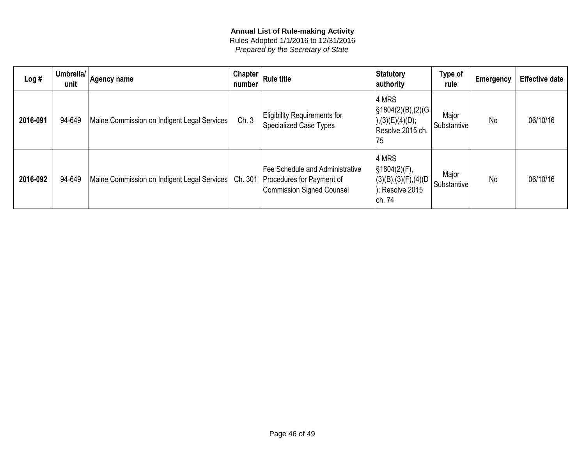| Log#     | Umbrella/<br>unit | Agency name                                 | Chapter $ $<br>number | <b>Rule title</b>                                                                         | Statutory<br>authority                                                                                | Type of<br>rule      | <b>Emergency</b> | <b>Effective date</b> |
|----------|-------------------|---------------------------------------------|-----------------------|-------------------------------------------------------------------------------------------|-------------------------------------------------------------------------------------------------------|----------------------|------------------|-----------------------|
| 2016-091 | 94-649            | Maine Commission on Indigent Legal Services | Ch.3                  | <b>Eligibility Requirements for</b><br>Specialized Case Types                             | $ 4$ MRS<br>$\left  \S 1804(2)(B), (2)(G) \right $<br>), (3)(E)(4)(D);<br>Resolve 2015 ch.<br> 75     | Major<br>Substantive | <b>No</b>        | 06/10/16              |
| 2016-092 | 94-649            | Maine Commission on Indigent Legal Services | Ch. 301               | Fee Schedule and Administrative<br>Procedures for Payment of<br>Commission Signed Counsel | 4 MRS<br>$\frac{1}{3}$ 1804(2)(F),<br> (3)(B),(3)(F),(4)(D)<br>); Resolve 2015<br>  <sub>ch.</sub> 74 | Major<br>Substantive | <b>No</b>        | 06/10/16              |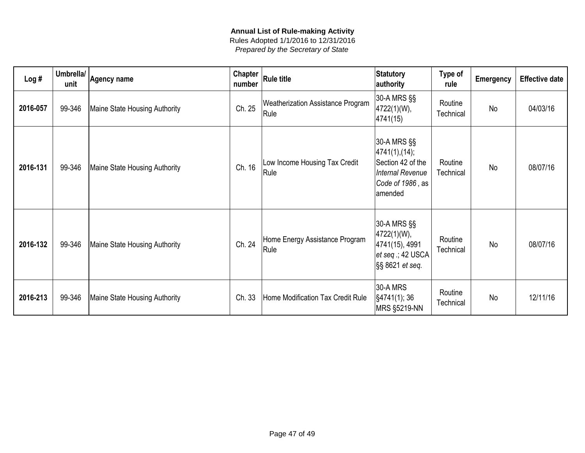| Log#     | Umbrella/<br>unit | <b>Agency name</b>            | <b>Chapter</b><br>number | <b>Rule title</b>                         | <b>Statutory</b><br>authority                                                                                | Type of<br>rule      | Emergency | <b>Effective date</b> |
|----------|-------------------|-------------------------------|--------------------------|-------------------------------------------|--------------------------------------------------------------------------------------------------------------|----------------------|-----------|-----------------------|
| 2016-057 | 99-346            | Maine State Housing Authority | Ch. 25                   | Weatherization Assistance Program<br>Rule | 30-A MRS §§<br>4722(1)(W),<br>4741(15)                                                                       | Routine<br>Technical | No        | 04/03/16              |
| 2016-131 | 99-346            | Maine State Housing Authority | Ch. 16                   | Low Income Housing Tax Credit<br>Rule     | 30-A MRS §§<br> 4741(1),(14);<br>Section 42 of the<br><b>Internal Revenue</b><br>Code of 1986, as<br>amended | Routine<br>Technical | <b>No</b> | 08/07/16              |
| 2016-132 | 99-346            | Maine State Housing Authority | Ch. 24                   | Home Energy Assistance Program<br>Rule    | 30-A MRS §§<br>4722(1)(W),<br>4741(15), 4991<br>$ et\,seq$ .; 42 USCA<br>§§ 8621 et seq.                     | Routine<br>Technical | <b>No</b> | 08/07/16              |
| 2016-213 | 99-346            | Maine State Housing Authority | Ch. 33                   | Home Modification Tax Credit Rule         | 30-A MRS<br> §4741(1); 36<br><b>MRS §5219-NN</b>                                                             | Routine<br>Technical | No        | 12/11/16              |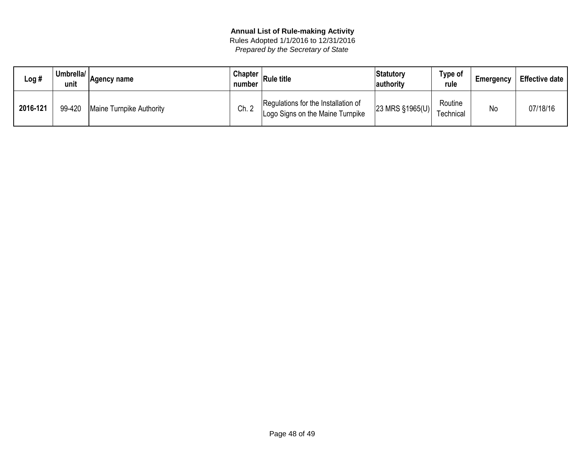| ∟og #    | Umbrella/<br>unit | Agency name              | <b>Chapter</b><br>number | ∣Rule title                                                             | Statutory<br>authority | Type of<br>rule      | Emergency | <b>Effective date</b> |
|----------|-------------------|--------------------------|--------------------------|-------------------------------------------------------------------------|------------------------|----------------------|-----------|-----------------------|
| 2016-121 | 99-420            | Maine Turnpike Authority | Ch. 2                    | Regulations for the Installation of<br>Logo Signs on the Maine Turnpike | 23 MRS §1965(U)        | Routine<br>⊺echnical | No        | 07/18/16              |